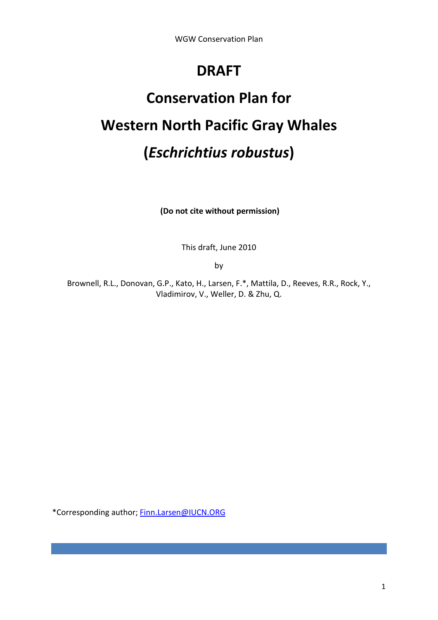# **DRAFT**

# **Conservation Plan for Western North Pacific Gray Whales (***Eschrichtius robustus***)**

**(Do not cite without permission)**

This draft, June 2010

by

Brownell, R.L., Donovan, G.P., Kato, H., Larsen, F.\*, Mattila, D., Reeves, R.R., Rock, Y., Vladimirov, V., Weller, D. & Zhu, Q.

\*Corresponding author; [Finn.Larsen@IUCN.ORG](mailto:Finn.Larsen@IUCN.ORG)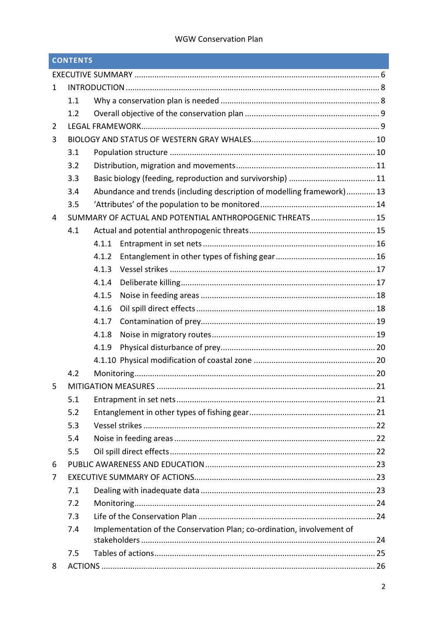|              | <b>CONTENTS</b> |                                                                        |    |
|--------------|-----------------|------------------------------------------------------------------------|----|
|              |                 |                                                                        |    |
| $\mathbf{1}$ |                 |                                                                        |    |
|              | 1.1             |                                                                        |    |
|              | 1.2             |                                                                        |    |
| 2            |                 |                                                                        |    |
| 3            |                 |                                                                        |    |
|              | 3.1             |                                                                        |    |
|              | 3.2             |                                                                        |    |
|              | 3.3             |                                                                        |    |
|              | 3.4             | Abundance and trends (including description of modelling framework) 13 |    |
|              | 3.5             |                                                                        |    |
| 4            |                 | SUMMARY OF ACTUAL AND POTENTIAL ANTHROPOGENIC THREATS 15               |    |
|              | 4.1             |                                                                        |    |
|              |                 | 4.1.1                                                                  |    |
|              |                 | 4.1.2                                                                  |    |
|              |                 | 4.1.3                                                                  |    |
|              |                 | 4.1.4                                                                  |    |
|              |                 | 4.1.5                                                                  |    |
|              |                 | 4.1.6                                                                  |    |
|              |                 | 4.1.7                                                                  |    |
|              |                 | 4.1.8                                                                  |    |
|              |                 | 4.1.9                                                                  |    |
|              |                 |                                                                        |    |
|              | 4.2             |                                                                        |    |
| 5            |                 | <b>MITIGATION MEASURES</b>                                             | 21 |
|              | 5.1             |                                                                        |    |
|              | 5.2             |                                                                        |    |
|              | 5.3             |                                                                        |    |
|              | 5.4             |                                                                        |    |
|              | 5.5             |                                                                        |    |
| 6            |                 |                                                                        |    |
| 7            |                 |                                                                        |    |
|              | 7.1             |                                                                        |    |
|              | 7.2             |                                                                        |    |
|              | 7.3             |                                                                        |    |
|              | 7.4             | Implementation of the Conservation Plan; co-ordination, involvement of |    |
|              |                 |                                                                        |    |
|              | 7.5             |                                                                        |    |
| 8            |                 |                                                                        |    |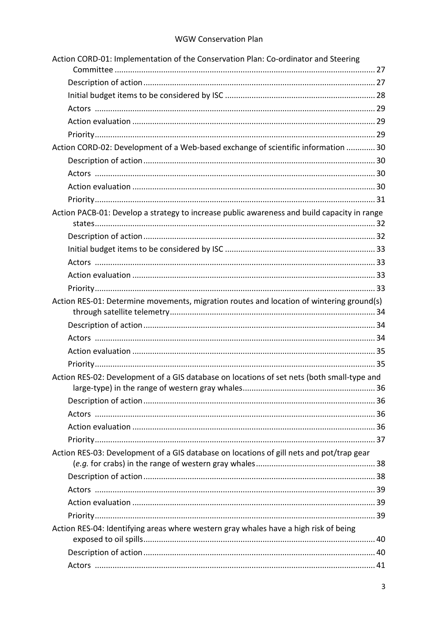| Action CORD-01: Implementation of the Conservation Plan: Co-ordinator and Steering          |  |
|---------------------------------------------------------------------------------------------|--|
|                                                                                             |  |
|                                                                                             |  |
|                                                                                             |  |
|                                                                                             |  |
|                                                                                             |  |
|                                                                                             |  |
| Action CORD-02: Development of a Web-based exchange of scientific information  30           |  |
|                                                                                             |  |
|                                                                                             |  |
|                                                                                             |  |
|                                                                                             |  |
| Action PACB-01: Develop a strategy to increase public awareness and build capacity in range |  |
|                                                                                             |  |
|                                                                                             |  |
|                                                                                             |  |
|                                                                                             |  |
|                                                                                             |  |
|                                                                                             |  |
| Action RES-01: Determine movements, migration routes and location of wintering ground(s)    |  |
|                                                                                             |  |
|                                                                                             |  |
|                                                                                             |  |
|                                                                                             |  |
| Action RES-02: Development of a GIS database on locations of set nets (both small-type and  |  |
|                                                                                             |  |
|                                                                                             |  |
|                                                                                             |  |
|                                                                                             |  |
| Action RES-03: Development of a GIS database on locations of gill nets and pot/trap gear    |  |
|                                                                                             |  |
|                                                                                             |  |
|                                                                                             |  |
|                                                                                             |  |
|                                                                                             |  |
| Action RES-04: Identifying areas where western gray whales have a high risk of being        |  |
|                                                                                             |  |
|                                                                                             |  |
|                                                                                             |  |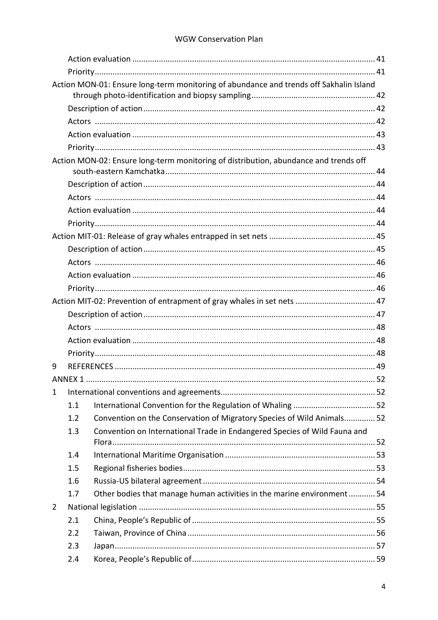|              |     | Action MON-01: Ensure long-term monitoring of abundance and trends off Sakhalin Island |  |
|--------------|-----|----------------------------------------------------------------------------------------|--|
|              |     |                                                                                        |  |
|              |     |                                                                                        |  |
|              |     |                                                                                        |  |
|              |     |                                                                                        |  |
|              |     |                                                                                        |  |
|              |     | Action MON-02: Ensure long-term monitoring of distribution, abundance and trends off   |  |
|              |     |                                                                                        |  |
|              |     |                                                                                        |  |
|              |     |                                                                                        |  |
|              |     |                                                                                        |  |
|              |     |                                                                                        |  |
|              |     |                                                                                        |  |
|              |     |                                                                                        |  |
|              |     |                                                                                        |  |
|              |     |                                                                                        |  |
|              |     | Action MIT-02: Prevention of entrapment of gray whales in set nets  47                 |  |
|              |     |                                                                                        |  |
|              |     |                                                                                        |  |
|              |     |                                                                                        |  |
|              |     |                                                                                        |  |
| 9            |     |                                                                                        |  |
|              |     |                                                                                        |  |
| $\mathbf{1}$ |     |                                                                                        |  |
|              | 1.1 |                                                                                        |  |
|              | 1.2 | Convention on the Conservation of Migratory Species of Wild Animals 52                 |  |
|              | 1.3 | Convention on International Trade in Endangered Species of Wild Fauna and              |  |
|              |     |                                                                                        |  |
|              | 1.4 |                                                                                        |  |
|              | 1.5 |                                                                                        |  |
|              | 1.6 |                                                                                        |  |
|              | 1.7 | Other bodies that manage human activities in the marine environment 54                 |  |
| 2            |     |                                                                                        |  |
|              | 2.1 |                                                                                        |  |
|              | 2.2 |                                                                                        |  |
|              | 2.3 |                                                                                        |  |
|              | 2.4 |                                                                                        |  |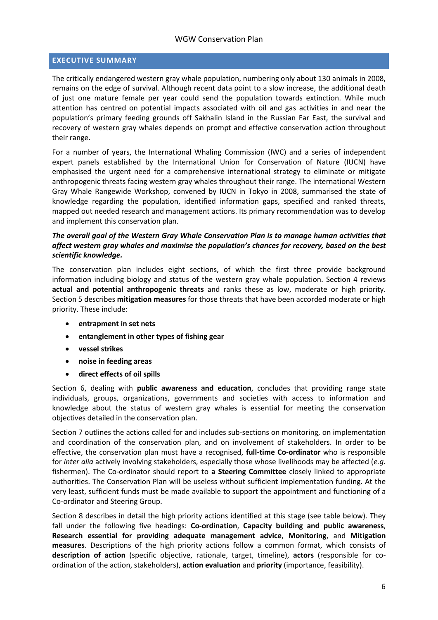#### <span id="page-5-0"></span>**EXECUTIVE SUMMARY**

The critically endangered western gray whale population, numbering only about 130 animals in 2008, remains on the edge of survival. Although recent data point to a slow increase, the additional death of just one mature female per year could send the population towards extinction. While much attention has centred on potential impacts associated with oil and gas activities in and near the population's primary feeding grounds off Sakhalin Island in the Russian Far East, the survival and recovery of western gray whales depends on prompt and effective conservation action throughout their range.

For a number of years, the International Whaling Commission (IWC) and a series of independent expert panels established by the International Union for Conservation of Nature (IUCN) have emphasised the urgent need for a comprehensive international strategy to eliminate or mitigate anthropogenic threats facing western gray whales throughout their range. The international Western Gray Whale Rangewide Workshop, convened by IUCN in Tokyo in 2008, summarised the state of knowledge regarding the population, identified information gaps, specified and ranked threats, mapped out needed research and management actions. Its primary recommendation was to develop and implement this conservation plan.

#### *The overall goal of the Western Gray Whale Conservation Plan is to manage human activities that affect western gray whales and maximise the population's chances for recovery, based on the best scientific knowledge.*

The conservation plan includes eight sections, of which the first three provide background information including biology and status of the western gray whale population. Section 4 reviews **actual and potential anthropogenic threats** and ranks these as low, moderate or high priority. Section 5 describes **mitigation measures** for those threats that have been accorded moderate or high priority. These include:

- **entrapment in set nets**
- **entanglement in other types of fishing gear**
- **vessel strikes**
- **noise in feeding areas**
- **direct effects of oil spills**

Section 6, dealing with **public awareness and education**, concludes that providing range state individuals, groups, organizations, governments and societies with access to information and knowledge about the status of western gray whales is essential for meeting the conservation objectives detailed in the conservation plan.

Section 7 outlines the actions called for and includes sub-sections on monitoring, on implementation and coordination of the conservation plan, and on involvement of stakeholders. In order to be effective, the conservation plan must have a recognised, **full-time Co-ordinator** who is responsible for *inter alia* actively involving stakeholders, especially those whose livelihoods may be affected (*e.g.* fishermen). The Co-ordinator should report to **a Steering Committee** closely linked to appropriate authorities. The Conservation Plan will be useless without sufficient implementation funding. At the very least, sufficient funds must be made available to support the appointment and functioning of a Co-ordinator and Steering Group.

Section 8 describes in detail the high priority actions identified at this stage (see table below). They fall under the following five headings: **Co-ordination**, **Capacity building and public awareness**, **Research essential for providing adequate management advice**, **Monitoring**, and **Mitigation measures**. Descriptions of the high priority actions follow a common format, which consists of **description of action** (specific objective, rationale, target, timeline), **actors** (responsible for coordination of the action, stakeholders), **action evaluation** and **priority** (importance, feasibility).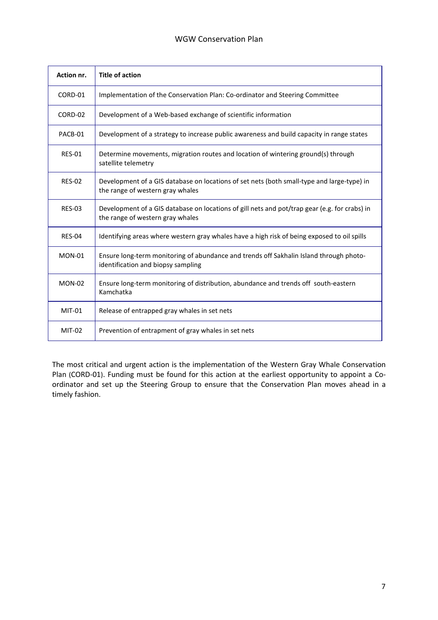| Action nr.    | <b>Title of action</b>                                                                                                            |
|---------------|-----------------------------------------------------------------------------------------------------------------------------------|
| CORD-01       | Implementation of the Conservation Plan: Co-ordinator and Steering Committee                                                      |
| CORD-02       | Development of a Web-based exchange of scientific information                                                                     |
| PACB-01       | Development of a strategy to increase public awareness and build capacity in range states                                         |
| <b>RES-01</b> | Determine movements, migration routes and location of wintering ground(s) through<br>satellite telemetry                          |
| <b>RES-02</b> | Development of a GIS database on locations of set nets (both small-type and large-type) in<br>the range of western gray whales    |
| <b>RES-03</b> | Development of a GIS database on locations of gill nets and pot/trap gear (e.g. for crabs) in<br>the range of western gray whales |
| <b>RES-04</b> | Identifying areas where western gray whales have a high risk of being exposed to oil spills                                       |
| $MON-01$      | Ensure long-term monitoring of abundance and trends off Sakhalin Island through photo-<br>identification and biopsy sampling      |
| $MON-02$      | Ensure long-term monitoring of distribution, abundance and trends off south-eastern<br>Kamchatka                                  |
| $MIT-01$      | Release of entrapped gray whales in set nets                                                                                      |
| $MIT-02$      | Prevention of entrapment of gray whales in set nets                                                                               |

The most critical and urgent action is the implementation of the Western Gray Whale Conservation Plan (CORD-01). Funding must be found for this action at the earliest opportunity to appoint a Coordinator and set up the Steering Group to ensure that the Conservation Plan moves ahead in a timely fashion.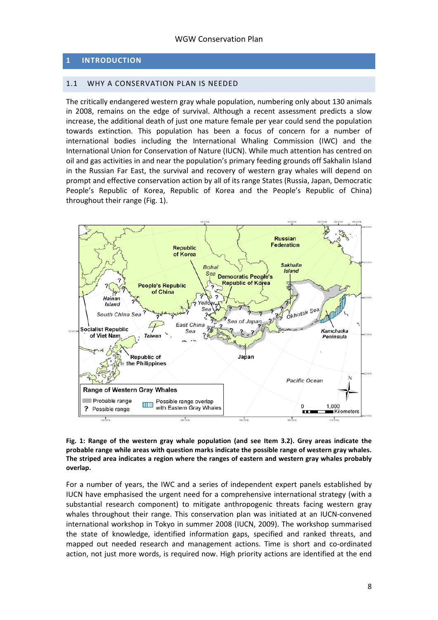#### <span id="page-7-0"></span>**1 INTRODUCTION**

#### <span id="page-7-1"></span>1.1 WHY A CONSERVATION PLAN IS NEEDED

The critically endangered western gray whale population, numbering only about 130 animals in 2008, remains on the edge of survival. Although a recent assessment predicts a slow increase, the additional death of just one mature female per year could send the population towards extinction. This population has been a focus of concern for a number of international bodies including the International Whaling Commission (IWC) and the International Union for Conservation of Nature (IUCN). While much attention has centred on oil and gas activities in and near the population's primary feeding grounds off Sakhalin Island in the Russian Far East, the survival and recovery of western gray whales will depend on prompt and effective conservation action by all of its range States (Russia, Japan, Democratic People's Republic of Korea, Republic of Korea and the People's Republic of China) throughout their range (Fig. 1).



**Fig. 1: Range of the western gray whale population (and see Item 3.2). Grey areas indicate the probable range while areas with question marks indicate the possible range of western gray whales. The striped area indicates a region where the ranges of eastern and western gray whales probably overlap.**

For a number of years, the IWC and a series of independent expert panels established by IUCN have emphasised the urgent need for a comprehensive international strategy (with a substantial research component) to mitigate anthropogenic threats facing western gray whales throughout their range. This conservation plan was initiated at an IUCN-convened international workshop in Tokyo in summer 2008 (IUCN, 2009). The workshop summarised the state of knowledge, identified information gaps, specified and ranked threats, and mapped out needed research and management actions. Time is short and co-ordinated action, not just more words, is required now. High priority actions are identified at the end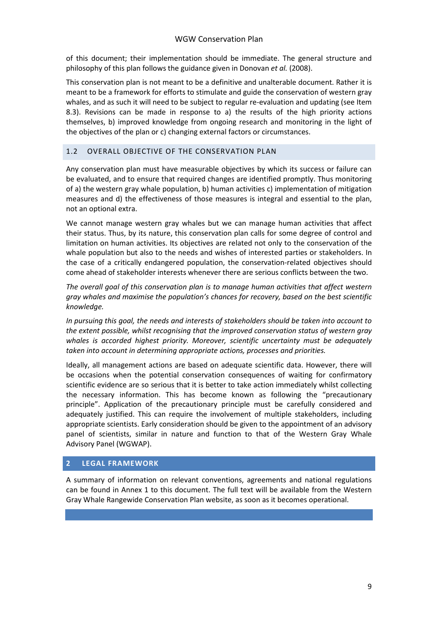of this document; their implementation should be immediate. The general structure and philosophy of this plan follows the guidance given in Donovan *et al.* (2008).

This conservation plan is not meant to be a definitive and unalterable document. Rather it is meant to be a framework for efforts to stimulate and guide the conservation of western gray whales, and as such it will need to be subject to regular re-evaluation and updating (see Item 8.3). Revisions can be made in response to a) the results of the high priority actions themselves, b) improved knowledge from ongoing research and monitoring in the light of the objectives of the plan or c) changing external factors or circumstances.

#### <span id="page-8-0"></span>1.2 OVERALL OBJECTIVE OF THE CONSERVATION PLAN

Any conservation plan must have measurable objectives by which its success or failure can be evaluated, and to ensure that required changes are identified promptly. Thus monitoring of a) the western gray whale population, b) human activities c) implementation of mitigation measures and d) the effectiveness of those measures is integral and essential to the plan, not an optional extra.

We cannot manage western gray whales but we can manage human activities that affect their status. Thus, by its nature, this conservation plan calls for some degree of control and limitation on human activities. Its objectives are related not only to the conservation of the whale population but also to the needs and wishes of interested parties or stakeholders. In the case of a critically endangered population, the conservation-related objectives should come ahead of stakeholder interests whenever there are serious conflicts between the two.

*The overall goal of this conservation plan is to manage human activities that affect western gray whales and maximise the population's chances for recovery, based on the best scientific knowledge.*

*In pursuing this goal, the needs and interests of stakeholders should be taken into account to the extent possible, whilst recognising that the improved conservation status of western gray whales is accorded highest priority. Moreover, scientific uncertainty must be adequately taken into account in determining appropriate actions, processes and priorities.*

Ideally, all management actions are based on adequate scientific data. However, there will be occasions when the potential conservation consequences of waiting for confirmatory scientific evidence are so serious that it is better to take action immediately whilst collecting the necessary information. This has become known as following the "precautionary principle". Application of the precautionary principle must be carefully considered and adequately justified. This can require the involvement of multiple stakeholders, including appropriate scientists. Early consideration should be given to the appointment of an advisory panel of scientists, similar in nature and function to that of the Western Gray Whale Advisory Panel (WGWAP).

#### <span id="page-8-1"></span>**2 LEGAL FRAMEWORK**

A summary of information on relevant conventions, agreements and national regulations can be found in Annex 1 to this document. The full text will be available from the Western Gray Whale Rangewide Conservation Plan website, as soon as it becomes operational.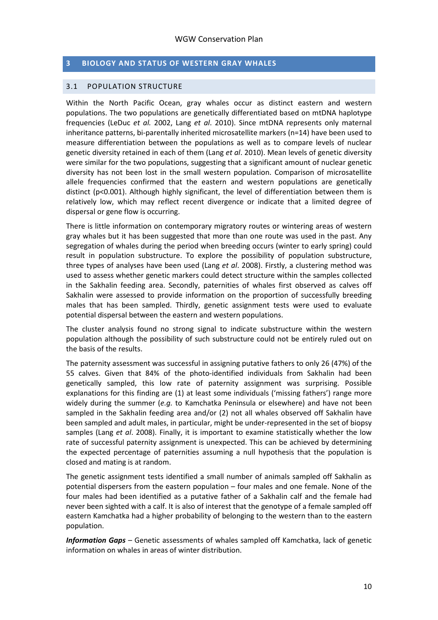#### <span id="page-9-0"></span>**3 BIOLOGY AND STATUS OF WESTERN GRAY WHALES**

#### <span id="page-9-1"></span>3.1 POPULATION STRUCTURE

Within the North Pacific Ocean, gray whales occur as distinct eastern and western populations. The two populations are genetically differentiated based on mtDNA haplotype frequencies (LeDuc *et al.* 2002, Lang *et al*. 2010). Since mtDNA represents only maternal inheritance patterns, bi-parentally inherited microsatellite markers (n=14) have been used to measure differentiation between the populations as well as to compare levels of nuclear genetic diversity retained in each of them (Lang *et al*. 2010). Mean levels of genetic diversity were similar for the two populations, suggesting that a significant amount of nuclear genetic diversity has not been lost in the small western population. Comparison of microsatellite allele frequencies confirmed that the eastern and western populations are genetically distinct (p<0.001). Although highly significant, the level of differentiation between them is relatively low, which may reflect recent divergence or indicate that a limited degree of dispersal or gene flow is occurring.

There is little information on contemporary migratory routes or wintering areas of western gray whales but it has been suggested that more than one route was used in the past. Any segregation of whales during the period when breeding occurs (winter to early spring) could result in population substructure. To explore the possibility of population substructure, three types of analyses have been used (Lang *et al*. 2008). Firstly, a clustering method was used to assess whether genetic markers could detect structure within the samples collected in the Sakhalin feeding area. Secondly, paternities of whales first observed as calves off Sakhalin were assessed to provide information on the proportion of successfully breeding males that has been sampled. Thirdly, genetic assignment tests were used to evaluate potential dispersal between the eastern and western populations.

The cluster analysis found no strong signal to indicate substructure within the western population although the possibility of such substructure could not be entirely ruled out on the basis of the results.

The paternity assessment was successful in assigning putative fathers to only 26 (47%) of the 55 calves. Given that 84% of the photo-identified individuals from Sakhalin had been genetically sampled, this low rate of paternity assignment was surprising. Possible explanations for this finding are (1) at least some individuals ('missing fathers') range more widely during the summer (*e.g.* to Kamchatka Peninsula or elsewhere) and have not been sampled in the Sakhalin feeding area and/or (2) not all whales observed off Sakhalin have been sampled and adult males, in particular, might be under-represented in the set of biopsy samples (Lang *et al*. 2008). Finally, it is important to examine statistically whether the low rate of successful paternity assignment is unexpected. This can be achieved by determining the expected percentage of paternities assuming a null hypothesis that the population is closed and mating is at random.

The genetic assignment tests identified a small number of animals sampled off Sakhalin as potential dispersers from the eastern population – four males and one female. None of the four males had been identified as a putative father of a Sakhalin calf and the female had never been sighted with a calf. It is also of interest that the genotype of a female sampled off eastern Kamchatka had a higher probability of belonging to the western than to the eastern population.

*Information Gaps* – Genetic assessments of whales sampled off Kamchatka, lack of genetic information on whales in areas of winter distribution.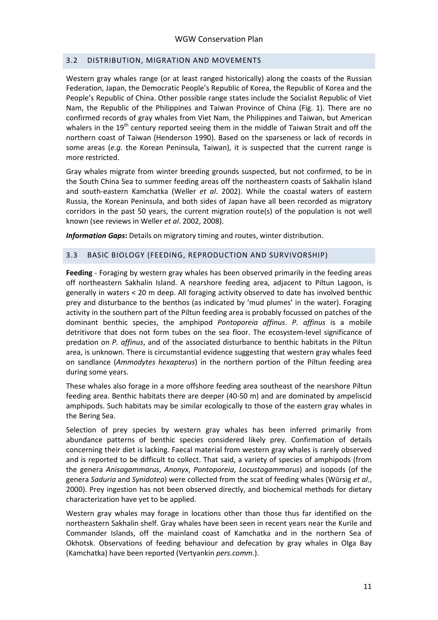#### <span id="page-10-0"></span>3.2 DISTRIBUTION, MIGRATION AND MOVEMENTS

Western gray whales range (or at least ranged historically) along the coasts of the Russian Federation, Japan, the Democratic People's Republic of Korea, the Republic of Korea and the People's Republic of China. Other possible range states include the Socialist Republic of Viet Nam, the Republic of the Philippines and Taiwan Province of China (Fig. 1). There are no confirmed records of gray whales from Viet Nam, the Philippines and Taiwan, but American whalers in the  $19<sup>th</sup>$  century reported seeing them in the middle of Taiwan Strait and off the northern coast of Taiwan (Henderson 1990). Based on the sparseness or lack of records in some areas (*e.g.* the Korean Peninsula, Taiwan), it is suspected that the current range is more restricted.

Gray whales migrate from winter breeding grounds suspected, but not confirmed, to be in the South China Sea to summer feeding areas off the northeastern coasts of Sakhalin Island and south-eastern Kamchatka (Weller *et al*. 2002). While the coastal waters of eastern Russia, the Korean Peninsula, and both sides of Japan have all been recorded as migratory corridors in the past 50 years, the current migration route(s) of the population is not well known (see reviews in Weller *et al*. 2002, 2008).

*Information Gaps***:** Details on migratory timing and routes, winter distribution.

#### <span id="page-10-1"></span>3.3 BASIC BIOLOGY (FEEDING, REPRODUCTION AND SURVIVORSHIP)

**Feeding** - Foraging by western gray whales has been observed primarily in the feeding areas off northeastern Sakhalin Island. A nearshore feeding area, adjacent to Piltun Lagoon, is generally in waters < 20 m deep. All foraging activity observed to date has involved benthic prey and disturbance to the benthos (as indicated by 'mud plumes' in the water). Foraging activity in the southern part of the Piltun feeding area is probably focussed on patches of the dominant benthic species, the amphipod *Pontoporeia affinus*. *P. affinus* is a mobile detritivore that does not form tubes on the sea floor. The ecosystem-level significance of predation on *P. affinus*, and of the associated disturbance to benthic habitats in the Piltun area, is unknown. There is circumstantial evidence suggesting that western gray whales feed on sandlance (*Ammodytes hexapterus*) in the northern portion of the Piltun feeding area during some years.

These whales also forage in a more offshore feeding area southeast of the nearshore Piltun feeding area. Benthic habitats there are deeper (40-50 m) and are dominated by ampeliscid amphipods. Such habitats may be similar ecologically to those of the eastern gray whales in the Bering Sea.

Selection of prey species by western gray whales has been inferred primarily from abundance patterns of benthic species considered likely prey. Confirmation of details concerning their diet is lacking. Faecal material from western gray whales is rarely observed and is reported to be difficult to collect. That said, a variety of species of amphipods (from the genera *Anisogammarus*, *Anonyx*, *Pontoporeia*, *Locustogammarus*) and isopods (of the genera *Saduria* and *Synidotea*) were collected from the scat of feeding whales (Würsig *et al.*, 2000). Prey ingestion has not been observed directly, and biochemical methods for dietary characterization have yet to be applied.

Western gray whales may forage in locations other than those thus far identified on the northeastern Sakhalin shelf. Gray whales have been seen in recent years near the Kurile and Commander Islands, off the mainland coast of Kamchatka and in the northern Sea of Okhotsk. Observations of feeding behaviour and defecation by gray whales in Olga Bay (Kamchatka) have been reported (Vertyankin *pers.comm.*).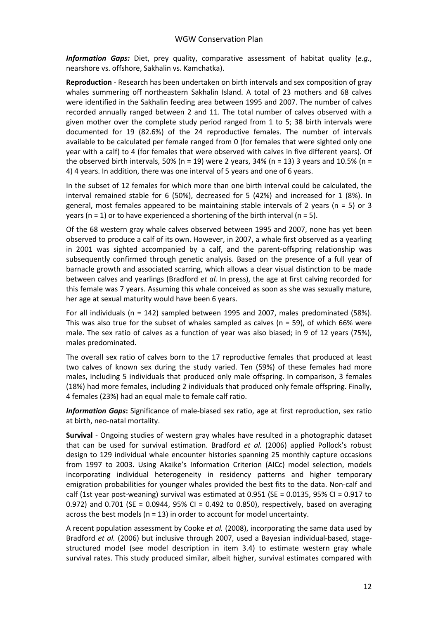*Information Gaps:* Diet, prey quality, comparative assessment of habitat quality (*e.g.*, nearshore vs. offshore, Sakhalin vs. Kamchatka).

**Reproduction** - Research has been undertaken on birth intervals and sex composition of gray whales summering off northeastern Sakhalin Island. A total of 23 mothers and 68 calves were identified in the Sakhalin feeding area between 1995 and 2007. The number of calves recorded annually ranged between 2 and 11. The total number of calves observed with a given mother over the complete study period ranged from 1 to 5; 38 birth intervals were documented for 19 (82.6%) of the 24 reproductive females. The number of intervals available to be calculated per female ranged from 0 (for females that were sighted only one year with a calf) to 4 (for females that were observed with calves in five different years). Of the observed birth intervals, 50% (n = 19) were 2 years, 34% (n = 13) 3 years and 10.5% (n = 4) 4 years. In addition, there was one interval of 5 years and one of 6 years.

In the subset of 12 females for which more than one birth interval could be calculated, the interval remained stable for 6 (50%), decreased for 5 (42%) and increased for 1 (8%). In general, most females appeared to be maintaining stable intervals of 2 years (n = 5) or 3 years ( $n = 1$ ) or to have experienced a shortening of the birth interval ( $n = 5$ ).

Of the 68 western gray whale calves observed between 1995 and 2007, none has yet been observed to produce a calf of its own. However, in 2007, a whale first observed as a yearling in 2001 was sighted accompanied by a calf, and the parent-offspring relationship was subsequently confirmed through genetic analysis. Based on the presence of a full year of barnacle growth and associated scarring, which allows a clear visual distinction to be made between calves and yearlings (Bradford *et al.* In press), the age at first calving recorded for this female was 7 years. Assuming this whale conceived as soon as she was sexually mature, her age at sexual maturity would have been 6 years.

For all individuals (n = 142) sampled between 1995 and 2007, males predominated (58%). This was also true for the subset of whales sampled as calves ( $n = 59$ ), of which 66% were male. The sex ratio of calves as a function of year was also biased; in 9 of 12 years (75%), males predominated.

The overall sex ratio of calves born to the 17 reproductive females that produced at least two calves of known sex during the study varied. Ten (59%) of these females had more males, including 5 individuals that produced only male offspring. In comparison, 3 females (18%) had more females, including 2 individuals that produced only female offspring. Finally, 4 females (23%) had an equal male to female calf ratio.

*Information Gaps***:** Significance of male-biased sex ratio, age at first reproduction, sex ratio at birth, neo-natal mortality.

**Survival** - Ongoing studies of western gray whales have resulted in a photographic dataset that can be used for survival estimation. Bradford *et al.* (2006) applied Pollock's robust design to 129 individual whale encounter histories spanning 25 monthly capture occasions from 1997 to 2003. Using Akaike's Information Criterion (AICc) model selection, models incorporating individual heterogeneity in residency patterns and higher temporary emigration probabilities for younger whales provided the best fits to the data. Non-calf and calf (1st year post-weaning) survival was estimated at 0.951 (SE = 0.0135, 95% CI = 0.917 to 0.972) and 0.701 (SE = 0.0944, 95% CI = 0.492 to 0.850), respectively, based on averaging across the best models (n = 13) in order to account for model uncertainty.

A recent population assessment by Cooke *et al.* (2008), incorporating the same data used by Bradford *et al.* (2006) but inclusive through 2007, used a Bayesian individual-based, stagestructured model (see model description in item 3.4) to estimate western gray whale survival rates. This study produced similar, albeit higher, survival estimates compared with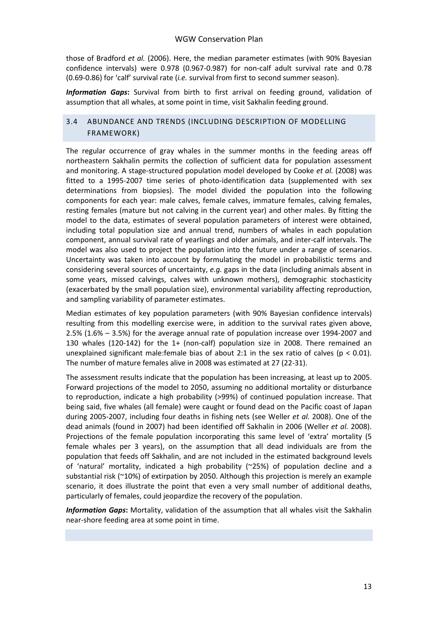those of Bradford *et al.* (2006). Here, the median parameter estimates (with 90% Bayesian confidence intervals) were 0.978 (0.967-0.987) for non-calf adult survival rate and 0.78 (0.69-0.86) for 'calf' survival rate (*i.e.* survival from first to second summer season).

*Information Gaps***:** Survival from birth to first arrival on feeding ground, validation of assumption that all whales, at some point in time, visit Sakhalin feeding ground.

#### <span id="page-12-0"></span>3.4 ABUNDANCE AND TRENDS (INCLUDING DESCRIPTION OF MODELLING FRAMEWORK)

The regular occurrence of gray whales in the summer months in the feeding areas off northeastern Sakhalin permits the collection of sufficient data for population assessment and monitoring. A stage-structured population model developed by Cooke *et al.* (2008) was fitted to a 1995-2007 time series of photo-identification data (supplemented with sex determinations from biopsies). The model divided the population into the following components for each year: male calves, female calves, immature females, calving females, resting females (mature but not calving in the current year) and other males. By fitting the model to the data, estimates of several population parameters of interest were obtained, including total population size and annual trend, numbers of whales in each population component, annual survival rate of yearlings and older animals, and inter-calf intervals. The model was also used to project the population into the future under a range of scenarios. Uncertainty was taken into account by formulating the model in probabilistic terms and considering several sources of uncertainty, *e.g.* gaps in the data (including animals absent in some years, missed calvings, calves with unknown mothers), demographic stochasticity (exacerbated by the small population size), environmental variability affecting reproduction, and sampling variability of parameter estimates.

Median estimates of key population parameters (with 90% Bayesian confidence intervals) resulting from this modelling exercise were, in addition to the survival rates given above, 2.5% (1.6% – 3.5%) for the average annual rate of population increase over 1994-2007 and 130 whales (120-142) for the 1+ (non-calf) population size in 2008. There remained an unexplained significant male: female bias of about 2:1 in the sex ratio of calves ( $p < 0.01$ ). The number of mature females alive in 2008 was estimated at 27 (22-31).

The assessment results indicate that the population has been increasing, at least up to 2005. Forward projections of the model to 2050, assuming no additional mortality or disturbance to reproduction, indicate a high probability (>99%) of continued population increase. That being said, five whales (all female) were caught or found dead on the Pacific coast of Japan during 2005-2007, including four deaths in fishing nets (see Weller *et al.* 2008). One of the dead animals (found in 2007) had been identified off Sakhalin in 2006 (Weller *et al.* 2008). Projections of the female population incorporating this same level of 'extra' mortality (5 female whales per 3 years), on the assumption that all dead individuals are from the population that feeds off Sakhalin, and are not included in the estimated background levels of 'natural' mortality, indicated a high probability (~25%) of population decline and a substantial risk (~10%) of extirpation by 2050. Although this projection is merely an example scenario, it does illustrate the point that even a very small number of additional deaths, particularly of females, could jeopardize the recovery of the population.

*Information Gaps***:** Mortality, validation of the assumption that all whales visit the Sakhalin near-shore feeding area at some point in time.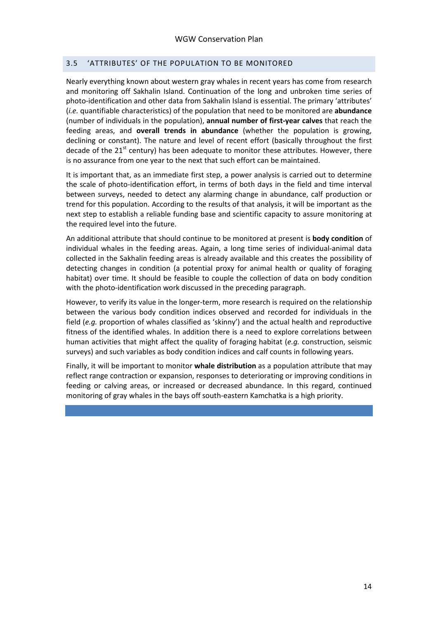#### <span id="page-13-0"></span>3.5 'ATTRIBUTES' OF THE POPULATION TO BE MONITORED

Nearly everything known about western gray whales in recent years has come from research and monitoring off Sakhalin Island. Continuation of the long and unbroken time series of photo-identification and other data from Sakhalin Island is essential. The primary 'attributes' (*i.e.* quantifiable characteristics) of the population that need to be monitored are **abundance** (number of individuals in the population), **annual number of first-year calves** that reach the feeding areas, and **overall trends in abundance** (whether the population is growing, declining or constant). The nature and level of recent effort (basically throughout the first decade of the  $21<sup>st</sup>$  century) has been adequate to monitor these attributes. However, there is no assurance from one year to the next that such effort can be maintained.

It is important that, as an immediate first step, a power analysis is carried out to determine the scale of photo-identification effort, in terms of both days in the field and time interval between surveys, needed to detect any alarming change in abundance, calf production or trend for this population. According to the results of that analysis, it will be important as the next step to establish a reliable funding base and scientific capacity to assure monitoring at the required level into the future.

An additional attribute that should continue to be monitored at present is **body condition** of individual whales in the feeding areas. Again, a long time series of individual-animal data collected in the Sakhalin feeding areas is already available and this creates the possibility of detecting changes in condition (a potential proxy for animal health or quality of foraging habitat) over time. It should be feasible to couple the collection of data on body condition with the photo-identification work discussed in the preceding paragraph.

However, to verify its value in the longer-term, more research is required on the relationship between the various body condition indices observed and recorded for individuals in the field (*e.g.* proportion of whales classified as 'skinny') and the actual health and reproductive fitness of the identified whales. In addition there is a need to explore correlations between human activities that might affect the quality of foraging habitat (*e.g.* construction, seismic surveys) and such variables as body condition indices and calf counts in following years.

Finally, it will be important to monitor **whale distribution** as a population attribute that may reflect range contraction or expansion, responses to deteriorating or improving conditions in feeding or calving areas, or increased or decreased abundance. In this regard, continued monitoring of gray whales in the bays off south-eastern Kamchatka is a high priority.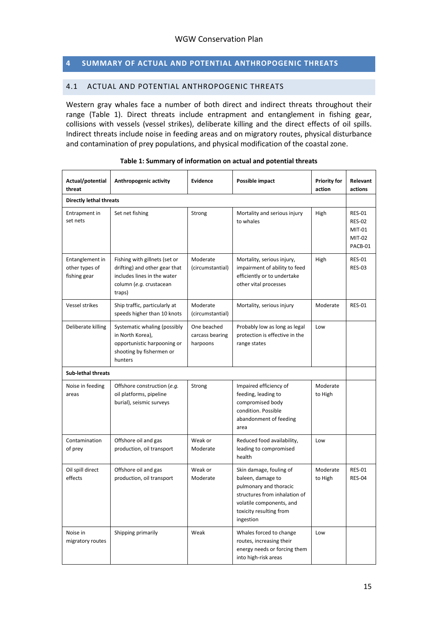#### <span id="page-14-0"></span>**4 SUMMARY OF ACTUAL AND POTENTIAL ANTHROPOGENIC THREATS**

#### <span id="page-14-1"></span>4.1 ACTUAL AND POTENTIAL ANTHROPOGENIC THREATS

Western gray whales face a number of both direct and indirect threats throughout their range (Table 1). Direct threats include entrapment and entanglement in fishing gear, collisions with vessels (vessel strikes), deliberate killing and the direct effects of oil spills. Indirect threats include noise in feeding areas and on migratory routes, physical disturbance and contamination of prey populations, and physical modification of the coastal zone.

| Actual/potential<br>threat                        | Anthropogenic activity                                                                                                             | <b>Evidence</b>                            | Possible impact                                                                                                                                                             | <b>Priority for</b><br>action | Relevant<br>actions                                           |
|---------------------------------------------------|------------------------------------------------------------------------------------------------------------------------------------|--------------------------------------------|-----------------------------------------------------------------------------------------------------------------------------------------------------------------------------|-------------------------------|---------------------------------------------------------------|
| <b>Directly lethal threats</b>                    |                                                                                                                                    |                                            |                                                                                                                                                                             |                               |                                                               |
| Entrapment in<br>set nets                         | Set net fishing                                                                                                                    | Strong                                     | Mortality and serious injury<br>to whales                                                                                                                                   | High                          | <b>RES-01</b><br><b>RES-02</b><br>MIT-01<br>MIT-02<br>PACB-01 |
| Entanglement in<br>other types of<br>fishing gear | Fishing with gillnets (set or<br>drifting) and other gear that<br>includes lines in the water<br>column (e.g. crustacean<br>traps) | Moderate<br>(circumstantial)               | Mortality, serious injury,<br>impairment of ability to feed<br>efficiently or to undertake<br>other vital processes                                                         | High                          | <b>RES-01</b><br><b>RES-03</b>                                |
| Vessel strikes                                    | Ship traffic, particularly at<br>speeds higher than 10 knots                                                                       | Moderate<br>(circumstantial)               | Mortality, serious injury                                                                                                                                                   | Moderate                      | <b>RES-01</b>                                                 |
| Deliberate killing                                | Systematic whaling (possibly<br>in North Korea),<br>opportunistic harpooning or<br>shooting by fishermen or<br>hunters             | One beached<br>carcass bearing<br>harpoons | Probably low as long as legal<br>protection is effective in the<br>range states                                                                                             | Low                           |                                                               |
| <b>Sub-lethal threats</b>                         |                                                                                                                                    |                                            |                                                                                                                                                                             |                               |                                                               |
| Noise in feeding<br>areas                         | Offshore construction (e.g.<br>oil platforms, pipeline<br>burial), seismic surveys                                                 | Strong                                     | Impaired efficiency of<br>feeding, leading to<br>compromised body<br>condition. Possible<br>abandonment of feeding<br>area                                                  | Moderate<br>to High           |                                                               |
| Contamination<br>of prey                          | Offshore oil and gas<br>production, oil transport                                                                                  | Weak or<br>Moderate                        | Reduced food availability,<br>leading to compromised<br>health                                                                                                              | Low                           |                                                               |
| Oil spill direct<br>effects                       | Offshore oil and gas<br>production, oil transport                                                                                  | Weak or<br>Moderate                        | Skin damage, fouling of<br>baleen, damage to<br>pulmonary and thoracic<br>structures from inhalation of<br>volatile components, and<br>toxicity resulting from<br>ingestion | Moderate<br>to High           | <b>RES-01</b><br><b>RES-04</b>                                |
| Noise in<br>migratory routes                      | Shipping primarily                                                                                                                 | Weak                                       | Whales forced to change<br>routes, increasing their<br>energy needs or forcing them<br>into high-risk areas                                                                 | Low                           |                                                               |

| Table 1: Summary of information on actual and potential threats |  |  |
|-----------------------------------------------------------------|--|--|
|                                                                 |  |  |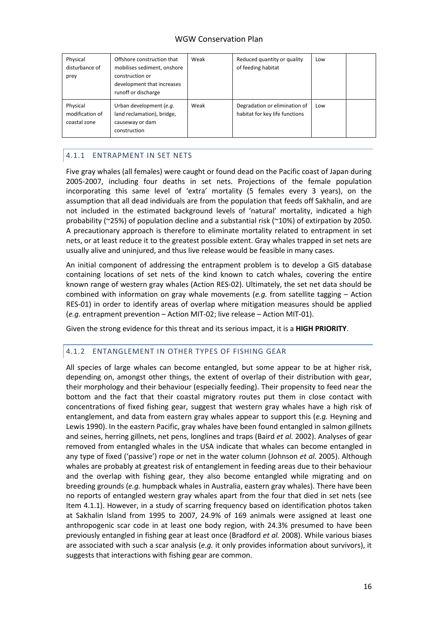| Physical<br>disturbance of<br>prey          | Offshore construction that<br>mobilises sediment, onshore<br>construction or<br>development that increases<br>runoff or discharge | Weak | Reduced quantity or quality<br>of feeding habitat               | Low |  |
|---------------------------------------------|-----------------------------------------------------------------------------------------------------------------------------------|------|-----------------------------------------------------------------|-----|--|
| Physical<br>modification of<br>coastal zone | Urban development (e.g.<br>land reclamation), bridge,<br>causeway or dam<br>construction                                          | Weak | Degradation or elimination of<br>habitat for key life functions | Low |  |

### <span id="page-15-0"></span>4.1.1 ENTRAPMENT IN SET NETS

Five gray whales (all females) were caught or found dead on the Pacific coast of Japan during 2005-2007, including four deaths in set nets. Projections of the female population incorporating this same level of 'extra' mortality (5 females every 3 years), on the assumption that all dead individuals are from the population that feeds off Sakhalin, and are not included in the estimated background levels of 'natural' mortality, indicated a high probability (~25%) of population decline and a substantial risk (~10%) of extirpation by 2050. A precautionary approach is therefore to eliminate mortality related to entrapment in set nets, or at least reduce it to the greatest possible extent. Gray whales trapped in set nets are usually alive and uninjured, and thus live release would be feasible in many cases.

An initial component of addressing the entrapment problem is to develop a GIS database containing locations of set nets of the kind known to catch whales, covering the entire known range of western gray whales (Action RES-02). Ultimately, the set net data should be combined with information on gray whale movements (*e.g.* from satellite tagging – Action RES-01) in order to identify areas of overlap where mitigation measures should be applied (*e.g.* entrapment prevention – Action MIT-02; live release – Action MIT-01).

Given the strong evidence for this threat and its serious impact, it is a **HIGH PRIORITY**.

#### <span id="page-15-1"></span>4.1.2 ENTANGLEMENT IN OTHER TYPES OF FISHING GEAR

All species of large whales can become entangled, but some appear to be at higher risk, depending on, amongst other things, the extent of overlap of their distribution with gear, their morphology and their behaviour (especially feeding). Their propensity to feed near the bottom and the fact that their coastal migratory routes put them in close contact with concentrations of fixed fishing gear, suggest that western gray whales have a high risk of entanglement, and data from eastern gray whales appear to support this (*e.g.* Heyning and Lewis 1990). In the eastern Pacific, gray whales have been found entangled in salmon gillnets and seines, herring gillnets, net pens, longlines and traps (Baird *et al.* 2002). Analyses of gear removed from entangled whales in the USA indicate that whales can become entangled in any type of fixed ('passive') rope or net in the water column (Johnson *et al.* 2005). Although whales are probably at greatest risk of entanglement in feeding areas due to their behaviour and the overlap with fishing gear, they also become entangled while migrating and on breeding grounds (*e.g.* humpback whales in Australia, eastern gray whales). There have been no reports of entangled western gray whales apart from the four that died in set nets (see Item 4.1.1). However, in a study of scarring frequency based on identification photos taken at Sakhalin Island from 1995 to 2007, 24.9% of 169 animals were assigned at least one anthropogenic scar code in at least one body region, with 24.3% presumed to have been previously entangled in fishing gear at least once (Bradford *et al.* 2008). While various biases are associated with such a scar analysis (*e.g.* it only provides information about survivors), it suggests that interactions with fishing gear are common.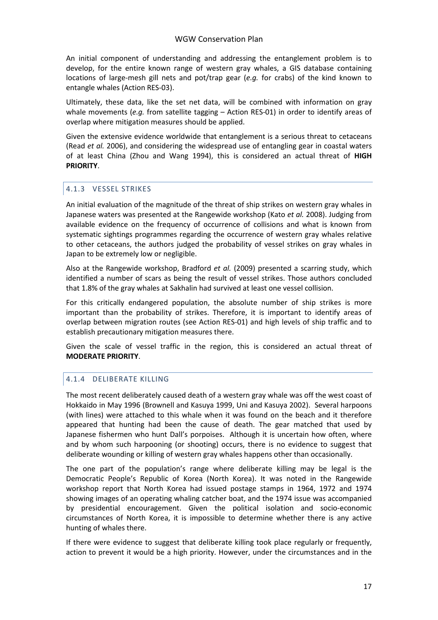An initial component of understanding and addressing the entanglement problem is to develop, for the entire known range of western gray whales, a GIS database containing locations of large-mesh gill nets and pot/trap gear (*e.g.* for crabs) of the kind known to entangle whales (Action RES-03).

Ultimately, these data, like the set net data, will be combined with information on gray whale movements (e.g. from satellite tagging - Action RES-01) in order to identify areas of overlap where mitigation measures should be applied.

Given the extensive evidence worldwide that entanglement is a serious threat to cetaceans (Read *et al.* 2006), and considering the widespread use of entangling gear in coastal waters of at least China (Zhou and Wang 1994), this is considered an actual threat of **HIGH PRIORITY**.

#### <span id="page-16-0"></span>4.1.3 VESSEL STRIKES

An initial evaluation of the magnitude of the threat of ship strikes on western gray whales in Japanese waters was presented at the Rangewide workshop (Kato *et al.* 2008). Judging from available evidence on the frequency of occurrence of collisions and what is known from systematic sightings programmes regarding the occurrence of western gray whales relative to other cetaceans, the authors judged the probability of vessel strikes on gray whales in Japan to be extremely low or negligible.

Also at the Rangewide workshop, Bradford *et al.* (2009) presented a scarring study, which identified a number of scars as being the result of vessel strikes. Those authors concluded that 1.8% of the gray whales at Sakhalin had survived at least one vessel collision.

For this critically endangered population, the absolute number of ship strikes is more important than the probability of strikes. Therefore, it is important to identify areas of overlap between migration routes (see Action RES-01) and high levels of ship traffic and to establish precautionary mitigation measures there.

Given the scale of vessel traffic in the region, this is considered an actual threat of **MODERATE PRIORITY**.

#### <span id="page-16-1"></span>4.1.4 DELIBERATE KILLING

The most recent deliberately caused death of a western gray whale was off the west coast of Hokkaido in May 1996 (Brownell and Kasuya 1999, Uni and Kasuya 2002). Several harpoons (with lines) were attached to this whale when it was found on the beach and it therefore appeared that hunting had been the cause of death. The gear matched that used by Japanese fishermen who hunt Dall's porpoises. Although it is uncertain how often, where and by whom such harpooning (or shooting) occurs, there is no evidence to suggest that deliberate wounding or killing of western gray whales happens other than occasionally.

The one part of the population's range where deliberate killing may be legal is the Democratic People's Republic of Korea (North Korea). It was noted in the Rangewide workshop report that North Korea had issued postage stamps in 1964, 1972 and 1974 showing images of an operating whaling catcher boat, and the 1974 issue was accompanied by presidential encouragement. Given the political isolation and socio-economic circumstances of North Korea, it is impossible to determine whether there is any active hunting of whales there.

If there were evidence to suggest that deliberate killing took place regularly or frequently, action to prevent it would be a high priority. However, under the circumstances and in the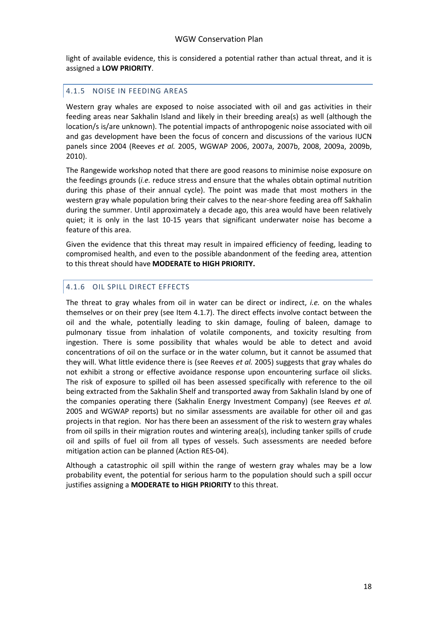light of available evidence, this is considered a potential rather than actual threat, and it is assigned a **LOW PRIORITY**.

#### <span id="page-17-0"></span>4.1.5 NOISE IN FEEDING AREAS

Western gray whales are exposed to noise associated with oil and gas activities in their feeding areas near Sakhalin Island and likely in their breeding area(s) as well (although the location/s is/are unknown). The potential impacts of anthropogenic noise associated with oil and gas development have been the focus of concern and discussions of the various IUCN panels since 2004 (Reeves *et al.* 2005, WGWAP 2006, 2007a, 2007b, 2008, 2009a, 2009b, 2010).

The Rangewide workshop noted that there are good reasons to minimise noise exposure on the feedings grounds (*i.e.* reduce stress and ensure that the whales obtain optimal nutrition during this phase of their annual cycle). The point was made that most mothers in the western gray whale population bring their calves to the near-shore feeding area off Sakhalin during the summer. Until approximately a decade ago, this area would have been relatively quiet; it is only in the last 10-15 years that significant underwater noise has become a feature of this area.

Given the evidence that this threat may result in impaired efficiency of feeding, leading to compromised health, and even to the possible abandonment of the feeding area, attention to this threat should have **MODERATE to HIGH PRIORITY.**

#### <span id="page-17-1"></span>4.1.6 OIL SPILL DIRECT EFFECTS

The threat to gray whales from oil in water can be direct or indirect, *i.e.* on the whales themselves or on their prey (see Item 4.1.7). The direct effects involve contact between the oil and the whale, potentially leading to skin damage, fouling of baleen, damage to pulmonary tissue from inhalation of volatile components, and toxicity resulting from ingestion. There is some possibility that whales would be able to detect and avoid concentrations of oil on the surface or in the water column, but it cannot be assumed that they will. What little evidence there is (see Reeves *et al.* 2005) suggests that gray whales do not exhibit a strong or effective avoidance response upon encountering surface oil slicks. The risk of exposure to spilled oil has been assessed specifically with reference to the oil being extracted from the Sakhalin Shelf and transported away from Sakhalin Island by one of the companies operating there (Sakhalin Energy Investment Company) (see Reeves *et al.* 2005 and WGWAP reports) but no similar assessments are available for other oil and gas projects in that region. Nor has there been an assessment of the risk to western gray whales from oil spills in their migration routes and wintering area(s), including tanker spills of crude oil and spills of fuel oil from all types of vessels. Such assessments are needed before mitigation action can be planned (Action RES-04).

Although a catastrophic oil spill within the range of western gray whales may be a low probability event, the potential for serious harm to the population should such a spill occur justifies assigning a **MODERATE to HIGH PRIORITY** to this threat.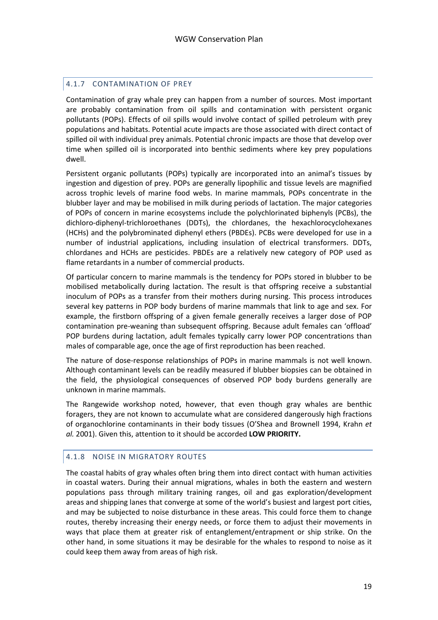#### <span id="page-18-0"></span>4.1.7 CONTAMINATION OF PREY

Contamination of gray whale prey can happen from a number of sources. Most important are probably contamination from oil spills and contamination with persistent organic pollutants (POPs). Effects of oil spills would involve contact of spilled petroleum with prey populations and habitats. Potential acute impacts are those associated with direct contact of spilled oil with individual prey animals. Potential chronic impacts are those that develop over time when spilled oil is incorporated into benthic sediments where key prey populations dwell.

Persistent organic pollutants (POPs) typically are incorporated into an animal's tissues by ingestion and digestion of prey. POPs are generally lipophilic and tissue levels are magnified across trophic levels of marine food webs. In marine mammals, POPs concentrate in the blubber layer and may be mobilised in milk during periods of lactation. The major categories of POPs of concern in marine ecosystems include the polychlorinated biphenyls (PCBs), the dichloro-diphenyl-trichloroethanes (DDTs), the chlordanes, the hexachlorocyclohexanes (HCHs) and the polybrominated diphenyl ethers (PBDEs). PCBs were developed for use in a number of industrial applications, including insulation of electrical transformers. DDTs, chlordanes and HCHs are pesticides. PBDEs are a relatively new category of POP used as flame retardants in a number of commercial products.

Of particular concern to marine mammals is the tendency for POPs stored in blubber to be mobilised metabolically during lactation. The result is that offspring receive a substantial inoculum of POPs as a transfer from their mothers during nursing. This process introduces several key patterns in POP body burdens of marine mammals that link to age and sex. For example, the firstborn offspring of a given female generally receives a larger dose of POP contamination pre-weaning than subsequent offspring. Because adult females can 'offload' POP burdens during lactation, adult females typically carry lower POP concentrations than males of comparable age, once the age of first reproduction has been reached.

The nature of dose-response relationships of POPs in marine mammals is not well known. Although contaminant levels can be readily measured if blubber biopsies can be obtained in the field, the physiological consequences of observed POP body burdens generally are unknown in marine mammals.

The Rangewide workshop noted, however, that even though gray whales are benthic foragers, they are not known to accumulate what are considered dangerously high fractions of organochlorine contaminants in their body tissues (O'Shea and Brownell 1994, Krahn *et al.* 2001). Given this, attention to it should be accorded **LOW PRIORITY.**

#### <span id="page-18-1"></span>4.1.8 NOISE IN MIGRATORY ROUTES

The coastal habits of gray whales often bring them into direct contact with human activities in coastal waters. During their annual migrations, whales in both the eastern and western populations pass through military training ranges, oil and gas exploration/development areas and shipping lanes that converge at some of the world's busiest and largest port cities, and may be subjected to noise disturbance in these areas. This could force them to change routes, thereby increasing their energy needs, or force them to adjust their movements in ways that place them at greater risk of entanglement/entrapment or ship strike. On the other hand, in some situations it may be desirable for the whales to respond to noise as it could keep them away from areas of high risk.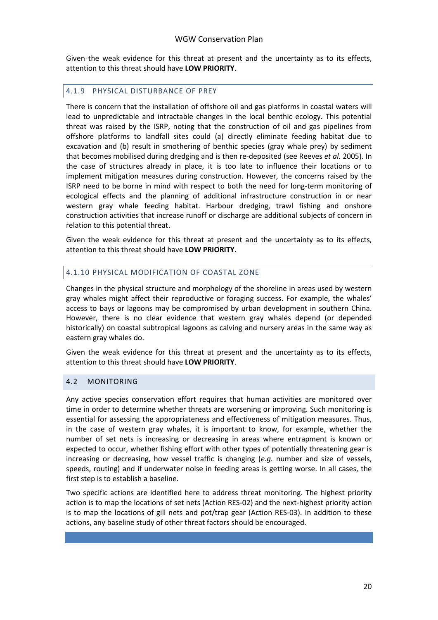Given the weak evidence for this threat at present and the uncertainty as to its effects, attention to this threat should have **LOW PRIORITY**.

#### <span id="page-19-0"></span>4.1.9 PHYSICAL DISTURBANCE OF PREY

There is concern that the installation of offshore oil and gas platforms in coastal waters will lead to unpredictable and intractable changes in the local benthic ecology. This potential threat was raised by the ISRP, noting that the construction of oil and gas pipelines from offshore platforms to landfall sites could (a) directly eliminate feeding habitat due to excavation and (b) result in smothering of benthic species (gray whale prey) by sediment that becomes mobilised during dredging and is then re-deposited (see Reeves *et al.* 2005). In the case of structures already in place, it is too late to influence their locations or to implement mitigation measures during construction. However, the concerns raised by the ISRP need to be borne in mind with respect to both the need for long-term monitoring of ecological effects and the planning of additional infrastructure construction in or near western gray whale feeding habitat. Harbour dredging, trawl fishing and onshore construction activities that increase runoff or discharge are additional subjects of concern in relation to this potential threat.

Given the weak evidence for this threat at present and the uncertainty as to its effects, attention to this threat should have **LOW PRIORITY**.

#### <span id="page-19-1"></span>4.1.10 PHYSICAL MODIFICATION OF COASTAL ZONE

Changes in the physical structure and morphology of the shoreline in areas used by western gray whales might affect their reproductive or foraging success. For example, the whales' access to bays or lagoons may be compromised by urban development in southern China. However, there is no clear evidence that western gray whales depend (or depended historically) on coastal subtropical lagoons as calving and nursery areas in the same way as eastern gray whales do.

Given the weak evidence for this threat at present and the uncertainty as to its effects, attention to this threat should have **LOW PRIORITY**.

#### <span id="page-19-2"></span>4.2 MONITORING

Any active species conservation effort requires that human activities are monitored over time in order to determine whether threats are worsening or improving. Such monitoring is essential for assessing the appropriateness and effectiveness of mitigation measures. Thus, in the case of western gray whales, it is important to know, for example, whether the number of set nets is increasing or decreasing in areas where entrapment is known or expected to occur, whether fishing effort with other types of potentially threatening gear is increasing or decreasing, how vessel traffic is changing (*e.g.* number and size of vessels, speeds, routing) and if underwater noise in feeding areas is getting worse. In all cases, the first step is to establish a baseline.

Two specific actions are identified here to address threat monitoring. The highest priority action is to map the locations of set nets (Action RES-02) and the next-highest priority action is to map the locations of gill nets and pot/trap gear (Action RES-03). In addition to these actions, any baseline study of other threat factors should be encouraged.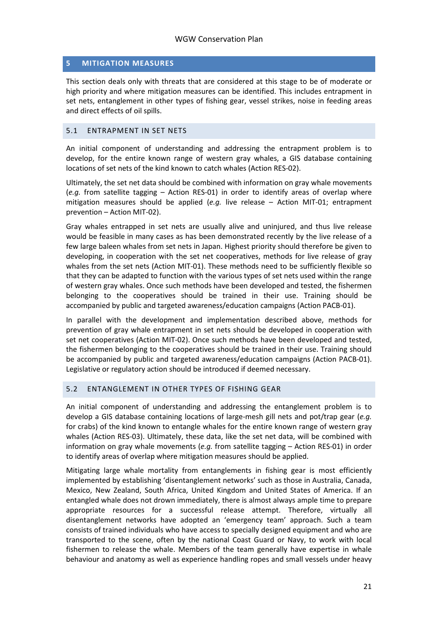#### <span id="page-20-0"></span>**5 MITIGATION MEASURES**

This section deals only with threats that are considered at this stage to be of moderate or high priority and where mitigation measures can be identified. This includes entrapment in set nets, entanglement in other types of fishing gear, vessel strikes, noise in feeding areas and direct effects of oil spills.

#### <span id="page-20-1"></span>5.1 ENTRAPMENT IN SET NETS

An initial component of understanding and addressing the entrapment problem is to develop, for the entire known range of western gray whales, a GIS database containing locations of set nets of the kind known to catch whales (Action RES-02).

Ultimately, the set net data should be combined with information on gray whale movements (*e.g.* from satellite tagging – Action RES-01) in order to identify areas of overlap where mitigation measures should be applied (*e.g.* live release – Action MIT-01; entrapment prevention – Action MIT-02).

Gray whales entrapped in set nets are usually alive and uninjured, and thus live release would be feasible in many cases as has been demonstrated recently by the live release of a few large baleen whales from set nets in Japan. Highest priority should therefore be given to developing, in cooperation with the set net cooperatives, methods for live release of gray whales from the set nets (Action MIT-01). These methods need to be sufficiently flexible so that they can be adapted to function with the various types of set nets used within the range of western gray whales. Once such methods have been developed and tested, the fishermen belonging to the cooperatives should be trained in their use. Training should be accompanied by public and targeted awareness/education campaigns (Action PACB-01).

In parallel with the development and implementation described above, methods for prevention of gray whale entrapment in set nets should be developed in cooperation with set net cooperatives (Action MIT-02). Once such methods have been developed and tested, the fishermen belonging to the cooperatives should be trained in their use. Training should be accompanied by public and targeted awareness/education campaigns (Action PACB-01). Legislative or regulatory action should be introduced if deemed necessary.

#### <span id="page-20-2"></span>5.2 ENTANGLEMENT IN OTHER TYPES OF FISHING GEAR

An initial component of understanding and addressing the entanglement problem is to develop a GIS database containing locations of large-mesh gill nets and pot/trap gear (*e.g.* for crabs) of the kind known to entangle whales for the entire known range of western gray whales (Action RES-03). Ultimately, these data, like the set net data, will be combined with information on gray whale movements (*e.g.* from satellite tagging – Action RES-01) in order to identify areas of overlap where mitigation measures should be applied.

Mitigating large whale mortality from entanglements in fishing gear is most efficiently implemented by establishing 'disentanglement networks' such as those in Australia, Canada, Mexico, New Zealand, South Africa, United Kingdom and United States of America. If an entangled whale does not drown immediately, there is almost always ample time to prepare appropriate resources for a successful release attempt. Therefore, virtually all disentanglement networks have adopted an 'emergency team' approach. Such a team consists of trained individuals who have access to specially designed equipment and who are transported to the scene, often by the national Coast Guard or Navy, to work with local fishermen to release the whale. Members of the team generally have expertise in whale behaviour and anatomy as well as experience handling ropes and small vessels under heavy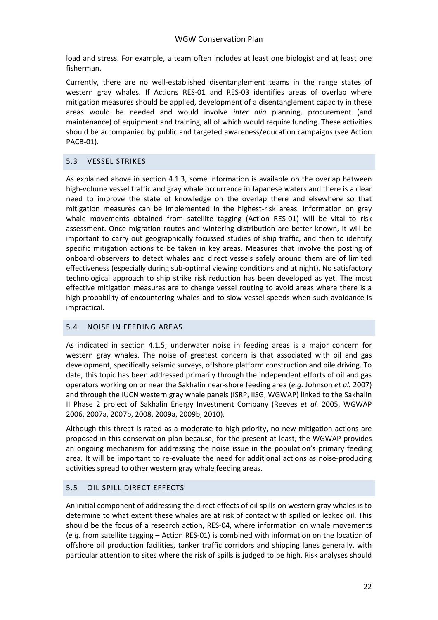load and stress. For example, a team often includes at least one biologist and at least one fisherman.

Currently, there are no well-established disentanglement teams in the range states of western gray whales. If Actions RES-01 and RES-03 identifies areas of overlap where mitigation measures should be applied, development of a disentanglement capacity in these areas would be needed and would involve *inter alia* planning, procurement (and maintenance) of equipment and training, all of which would require funding. These activities should be accompanied by public and targeted awareness/education campaigns (see Action PACB-01).

#### <span id="page-21-0"></span>5.3 VESSEL STRIKES

As explained above in section 4.1.3, some information is available on the overlap between high-volume vessel traffic and gray whale occurrence in Japanese waters and there is a clear need to improve the state of knowledge on the overlap there and elsewhere so that mitigation measures can be implemented in the highest-risk areas. Information on gray whale movements obtained from satellite tagging (Action RES-01) will be vital to risk assessment. Once migration routes and wintering distribution are better known, it will be important to carry out geographically focussed studies of ship traffic, and then to identify specific mitigation actions to be taken in key areas. Measures that involve the posting of onboard observers to detect whales and direct vessels safely around them are of limited effectiveness (especially during sub-optimal viewing conditions and at night). No satisfactory technological approach to ship strike risk reduction has been developed as yet. The most effective mitigation measures are to change vessel routing to avoid areas where there is a high probability of encountering whales and to slow vessel speeds when such avoidance is impractical.

#### <span id="page-21-1"></span>5.4 NOISE IN FEEDING AREAS

As indicated in section 4.1.5, underwater noise in feeding areas is a major concern for western gray whales. The noise of greatest concern is that associated with oil and gas development, specifically seismic surveys, offshore platform construction and pile driving. To date, this topic has been addressed primarily through the independent efforts of oil and gas operators working on or near the Sakhalin near-shore feeding area (*e.g.* Johnson *et al.* 2007) and through the IUCN western gray whale panels (ISRP, IISG, WGWAP) linked to the Sakhalin II Phase 2 project of Sakhalin Energy Investment Company (Reeves *et al.* 2005, WGWAP 2006, 2007a, 2007b, 2008, 2009a, 2009b, 2010).

Although this threat is rated as a moderate to high priority, no new mitigation actions are proposed in this conservation plan because, for the present at least, the WGWAP provides an ongoing mechanism for addressing the noise issue in the population's primary feeding area. It will be important to re-evaluate the need for additional actions as noise-producing activities spread to other western gray whale feeding areas.

#### <span id="page-21-2"></span>5.5 OIL SPILL DIRECT EFFECTS

An initial component of addressing the direct effects of oil spills on western gray whales is to determine to what extent these whales are at risk of contact with spilled or leaked oil. This should be the focus of a research action, RES-04, where information on whale movements (*e.g.* from satellite tagging – Action RES-01) is combined with information on the location of offshore oil production facilities, tanker traffic corridors and shipping lanes generally, with particular attention to sites where the risk of spills is judged to be high. Risk analyses should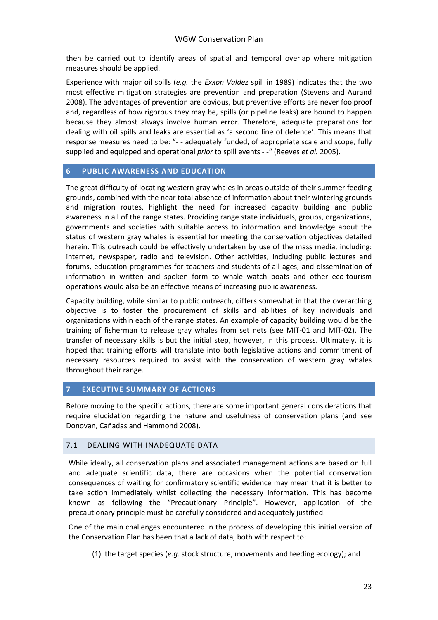then be carried out to identify areas of spatial and temporal overlap where mitigation measures should be applied.

Experience with major oil spills (*e.g.* the *Exxon Valdez* spill in 1989) indicates that the two most effective mitigation strategies are prevention and preparation (Stevens and Aurand 2008). The advantages of prevention are obvious, but preventive efforts are never foolproof and, regardless of how rigorous they may be, spills (or pipeline leaks) are bound to happen because they almost always involve human error. Therefore, adequate preparations for dealing with oil spills and leaks are essential as 'a second line of defence'. This means that response measures need to be: "- - adequately funded, of appropriate scale and scope, fully supplied and equipped and operational *prior* to spill events - -" (Reeves *et al.* 2005).

#### <span id="page-22-0"></span>**6 PUBLIC AWARENESS AND EDUCATION**

The great difficulty of locating western gray whales in areas outside of their summer feeding grounds, combined with the near total absence of information about their wintering grounds and migration routes, highlight the need for increased capacity building and public awareness in all of the range states. Providing range state individuals, groups, organizations, governments and societies with suitable access to information and knowledge about the status of western gray whales is essential for meeting the conservation objectives detailed herein. This outreach could be effectively undertaken by use of the mass media, including: internet, newspaper, radio and television. Other activities, including public lectures and forums, education programmes for teachers and students of all ages, and dissemination of information in written and spoken form to whale watch boats and other eco-tourism operations would also be an effective means of increasing public awareness.

Capacity building, while similar to public outreach, differs somewhat in that the overarching objective is to foster the procurement of skills and abilities of key individuals and organizations within each of the range states. An example of capacity building would be the training of fisherman to release gray whales from set nets (see MIT-01 and MIT-02). The transfer of necessary skills is but the initial step, however, in this process. Ultimately, it is hoped that training efforts will translate into both legislative actions and commitment of necessary resources required to assist with the conservation of western gray whales throughout their range.

#### <span id="page-22-1"></span>**7 EXECUTIVE SUMMARY OF ACTIONS**

Before moving to the specific actions, there are some important general considerations that require elucidation regarding the nature and usefulness of conservation plans (and see Donovan, Cañadas and Hammond 2008).

#### <span id="page-22-2"></span>7.1 DEALING WITH INADEQUATE DATA

While ideally, all conservation plans and associated management actions are based on full and adequate scientific data, there are occasions when the potential conservation consequences of waiting for confirmatory scientific evidence may mean that it is better to take action immediately whilst collecting the necessary information. This has become known as following the "Precautionary Principle". However, application of the precautionary principle must be carefully considered and adequately justified.

One of the main challenges encountered in the process of developing this initial version of the Conservation Plan has been that a lack of data, both with respect to:

(1) the target species (*e.g.* stock structure, movements and feeding ecology); and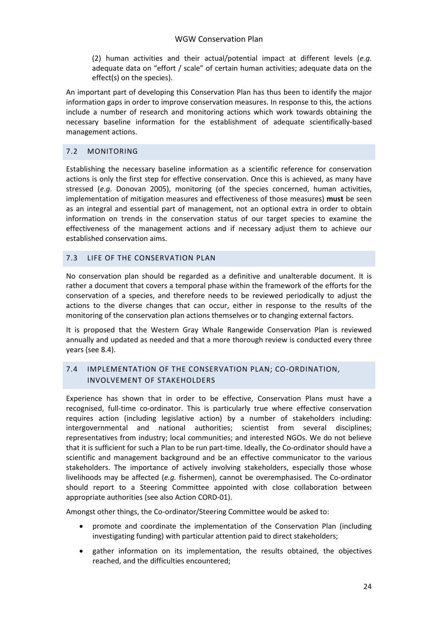(2) human activities and their actual/potential impact at different levels (*e.g.* adequate data on "effort / scale" of certain human activities; adequate data on the effect(s) on the species).

An important part of developing this Conservation Plan has thus been to identify the major information gaps in order to improve conservation measures. In response to this, the actions include a number of research and monitoring actions which work towards obtaining the necessary baseline information for the establishment of adequate scientifically-based management actions.

#### <span id="page-23-0"></span>7.2 MONITORING

Establishing the necessary baseline information as a scientific reference for conservation actions is only the first step for effective conservation. Once this is achieved, as many have stressed (*e.g.* Donovan 2005), monitoring (of the species concerned, human activities, implementation of mitigation measures and effectiveness of those measures) **must** be seen as an integral and essential part of management, not an optional extra in order to obtain information on trends in the conservation status of our target species to examine the effectiveness of the management actions and if necessary adjust them to achieve our established conservation aims.

#### <span id="page-23-1"></span>7.3 LIFE OF THE CONSERVATION PLAN

No conservation plan should be regarded as a definitive and unalterable document. It is rather a document that covers a temporal phase within the framework of the efforts for the conservation of a species, and therefore needs to be reviewed periodically to adjust the actions to the diverse changes that can occur, either in response to the results of the monitoring of the conservation plan actions themselves or to changing external factors.

It is proposed that the Western Gray Whale Rangewide Conservation Plan is reviewed annually and updated as needed and that a more thorough review is conducted every three years (see 8.4).

### <span id="page-23-2"></span>7.4 IMPLEMENTATION OF THE CONSERVATION PLAN; CO-ORDINATION, INVOLVEMENT OF STAKEHOLDERS

Experience has shown that in order to be effective, Conservation Plans must have a recognised, full-time co-ordinator. This is particularly true where effective conservation requires action (including legislative action) by a number of stakeholders including: intergovernmental and national authorities; scientist from several disciplines; representatives from industry; local communities; and interested NGOs. We do not believe that it is sufficient for such a Plan to be run part-time. Ideally, the Co-ordinator should have a scientific and management background and be an effective communicator to the various stakeholders. The importance of actively involving stakeholders, especially those whose livelihoods may be affected (*e.g.* fishermen), cannot be overemphasised. The Co-ordinator should report to a Steering Committee appointed with close collaboration between appropriate authorities (see also Action CORD-01).

Amongst other things, the Co-ordinator/Steering Committee would be asked to:

- promote and coordinate the implementation of the Conservation Plan (including investigating funding) with particular attention paid to direct stakeholders;
- gather information on its implementation, the results obtained, the objectives reached, and the difficulties encountered;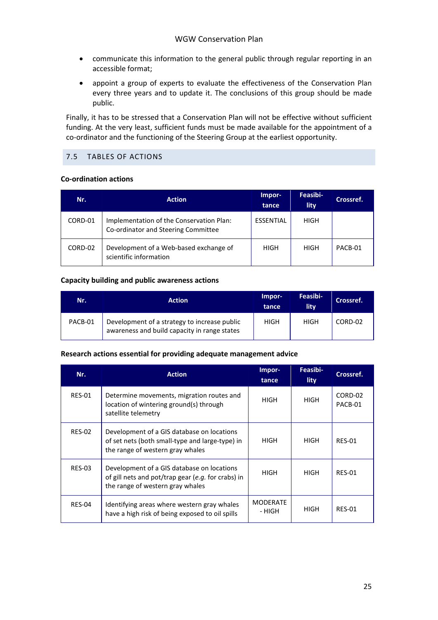- communicate this information to the general public through regular reporting in an accessible format;
- appoint a group of experts to evaluate the effectiveness of the Conservation Plan every three years and to update it. The conclusions of this group should be made public.

Finally, it has to be stressed that a Conservation Plan will not be effective without sufficient funding. At the very least, sufficient funds must be made available for the appointment of a co-ordinator and the functioning of the Steering Group at the earliest opportunity.

#### <span id="page-24-0"></span>7.5 TABLES OF ACTIONS

#### **Co-ordination actions**

| Nr.     | <b>Action</b>                                                                   | Impor-<br>tance  | Feasibi-<br>lity | Crossref. |
|---------|---------------------------------------------------------------------------------|------------------|------------------|-----------|
| CORD-01 | Implementation of the Conservation Plan:<br>Co-ordinator and Steering Committee | <b>ESSENTIAL</b> | HIGH             |           |
| CORD-02 | Development of a Web-based exchange of<br>scientific information                | HIGH             | HIGH             | PACB-01   |

#### **Capacity building and public awareness actions**

| Nr.     | <b>Action</b>                                                                                | Impor-<br>tance | Feasibi-<br>lity | Crossref. |
|---------|----------------------------------------------------------------------------------------------|-----------------|------------------|-----------|
| PACB-01 | Development of a strategy to increase public<br>awareness and build capacity in range states | <b>HIGH</b>     | HIGH             | CORD-02   |

#### **Research actions essential for providing adequate management advice**

| Nr.           | <b>Action</b>                                                                                                                        | Impor-<br>tance           | Feasibi-<br>lity | Crossref.          |
|---------------|--------------------------------------------------------------------------------------------------------------------------------------|---------------------------|------------------|--------------------|
| <b>RES-01</b> | Determine movements, migration routes and<br>location of wintering ground(s) through<br>satellite telemetry                          | HIGH                      | HIGH             | CORD-02<br>PACB-01 |
| <b>RES-02</b> | Development of a GIS database on locations<br>of set nets (both small-type and large-type) in<br>the range of western gray whales    | HIGH                      | HIGH             | <b>RES-01</b>      |
| <b>RES-03</b> | Development of a GIS database on locations<br>of gill nets and pot/trap gear (e.g. for crabs) in<br>the range of western gray whales | <b>HIGH</b>               | <b>HIGH</b>      | <b>RES-01</b>      |
| RES-04        | Identifying areas where western gray whales<br>have a high risk of being exposed to oil spills                                       | <b>MODERATE</b><br>- HIGH | <b>HIGH</b>      | <b>RES-01</b>      |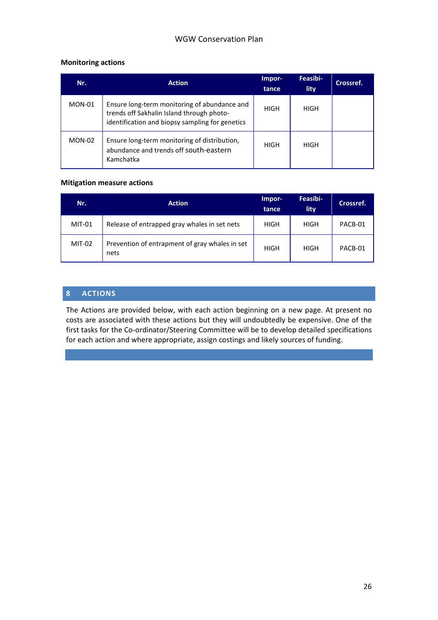#### **Monitoring actions**

| Nr.           | <b>Action</b>                                                                                                                                | Impor-<br>tance | Feasibi-<br>lity | Crossref. |
|---------------|----------------------------------------------------------------------------------------------------------------------------------------------|-----------------|------------------|-----------|
| $MON-01$      | Ensure long-term monitoring of abundance and<br>trends off Sakhalin Island through photo-<br>identification and biopsy sampling for genetics | HIGH            | HIGH             |           |
| <b>MON-02</b> | Ensure long-term monitoring of distribution,<br>abundance and trends off south-eastern<br>Kamchatka                                          | HIGH            | HIGH             |           |

#### **Mitigation measure actions**

| Nr.           | <b>Action</b>                                          | Impor-<br>tance | Feasibi-<br>lity | Crossref. |
|---------------|--------------------------------------------------------|-----------------|------------------|-----------|
| <b>MIT-01</b> | Release of entrapped gray whales in set nets           | HIGH            | HIGH             | PACB-01   |
| <b>MIT-02</b> | Prevention of entrapment of gray whales in set<br>nets | <b>HIGH</b>     | HIGH             | PACB-01   |

#### <span id="page-25-0"></span>**8 ACTIONS**

The Actions are provided below, with each action beginning on a new page. At present no costs are associated with these actions but they will undoubtedly be expensive. One of the first tasks for the Co-ordinator/Steering Committee will be to develop detailed specifications for each action and where appropriate, assign costings and likely sources of funding.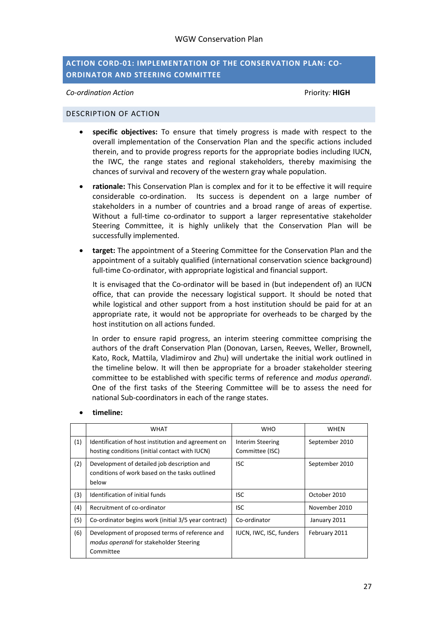#### <span id="page-26-0"></span>**ACTION CORD-01: IMPLEMENTATION OF THE CONSERVATION PLAN: CO-ORDINATOR AND STEERING COMMITTEE**

*Co-ordination Action* Priority*:* **HIGH**

#### <span id="page-26-1"></span>DESCRIPTION OF ACTION

- **specific objectives:** To ensure that timely progress is made with respect to the overall implementation of the Conservation Plan and the specific actions included therein, and to provide progress reports for the appropriate bodies including IUCN, the IWC, the range states and regional stakeholders, thereby maximising the chances of survival and recovery of the western gray whale population.
- **rationale:** This Conservation Plan is complex and for it to be effective it will require considerable co-ordination. Its success is dependent on a large number of stakeholders in a number of countries and a broad range of areas of expertise. Without a full-time co-ordinator to support a larger representative stakeholder Steering Committee, it is highly unlikely that the Conservation Plan will be successfully implemented.
- **target:** The appointment of a Steering Committee for the Conservation Plan and the appointment of a suitably qualified (international conservation science background) full-time Co-ordinator, with appropriate logistical and financial support.

It is envisaged that the Co-ordinator will be based in (but independent of) an IUCN office, that can provide the necessary logistical support. It should be noted that while logistical and other support from a host institution should be paid for at an appropriate rate, it would not be appropriate for overheads to be charged by the host institution on all actions funded.

In order to ensure rapid progress, an interim steering committee comprising the authors of the draft Conservation Plan (Donovan, Larsen, Reeves, Weller, Brownell, Kato, Rock, Mattila, Vladimirov and Zhu) will undertake the initial work outlined in the timeline below. It will then be appropriate for a broader stakeholder steering committee to be established with specific terms of reference and *modus operandi*. One of the first tasks of the Steering Committee will be to assess the need for national Sub-coordinators in each of the range states.

|     | WHAT                                                                                                   | WHO                                        | <b>WHEN</b>    |
|-----|--------------------------------------------------------------------------------------------------------|--------------------------------------------|----------------|
| (1) | Identification of host institution and agreement on<br>hosting conditions (initial contact with IUCN)  | <b>Interim Steering</b><br>Committee (ISC) | September 2010 |
| (2) | Development of detailed job description and<br>conditions of work based on the tasks outlined<br>below | <b>ISC</b>                                 | September 2010 |
| (3) | Identification of initial funds                                                                        | <b>ISC</b>                                 | October 2010   |
| (4) | Recruitment of co-ordinator                                                                            | <b>ISC</b>                                 | November 2010  |
| (5) | Co-ordinator begins work (initial 3/5 year contract)                                                   | Co-ordinator                               | January 2011   |
| (6) | Development of proposed terms of reference and<br>modus operandi for stakeholder Steering<br>Committee | IUCN, IWC, ISC, funders                    | February 2011  |

#### • **timeline:**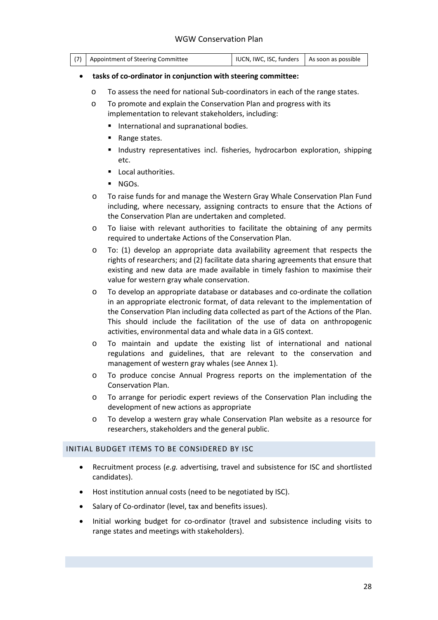| IUCN, IWC, ISC, funders   As soon as possible<br>(7) Appointment of Steering Committee |
|----------------------------------------------------------------------------------------|
|----------------------------------------------------------------------------------------|

#### • **tasks of co-ordinator in conjunction with steering committee:**

- o To assess the need for national Sub-coordinators in each of the range states.
- o To promote and explain the Conservation Plan and progress with its implementation to relevant stakeholders, including:
	- **International and supranational bodies.**
	- Range states.
	- **Industry representatives incl. fisheries, hydrocarbon exploration, shipping** etc.
	- **Local authorities.**
	- **NGOs.**
- o To raise funds for and manage the Western Gray Whale Conservation Plan Fund including, where necessary, assigning contracts to ensure that the Actions of the Conservation Plan are undertaken and completed.
- o To liaise with relevant authorities to facilitate the obtaining of any permits required to undertake Actions of the Conservation Plan.
- o To: (1) develop an appropriate data availability agreement that respects the rights of researchers; and (2) facilitate data sharing agreements that ensure that existing and new data are made available in timely fashion to maximise their value for western gray whale conservation.
- o To develop an appropriate database or databases and co-ordinate the collation in an appropriate electronic format, of data relevant to the implementation of the Conservation Plan including data collected as part of the Actions of the Plan. This should include the facilitation of the use of data on anthropogenic activities, environmental data and whale data in a GIS context.
- o To maintain and update the existing list of international and national regulations and guidelines, that are relevant to the conservation and management of western gray whales (see Annex 1).
- o To produce concise Annual Progress reports on the implementation of the Conservation Plan.
- o To arrange for periodic expert reviews of the Conservation Plan including the development of new actions as appropriate
- o To develop a western gray whale Conservation Plan website as a resource for researchers, stakeholders and the general public.

#### <span id="page-27-0"></span>INITIAL BUDGET ITEMS TO BE CONSIDERED BY ISC

- Recruitment process (*e.g.* advertising, travel and subsistence for ISC and shortlisted candidates).
- Host institution annual costs (need to be negotiated by ISC).
- Salary of Co-ordinator (level, tax and benefits issues).
- Initial working budget for co-ordinator (travel and subsistence including visits to range states and meetings with stakeholders).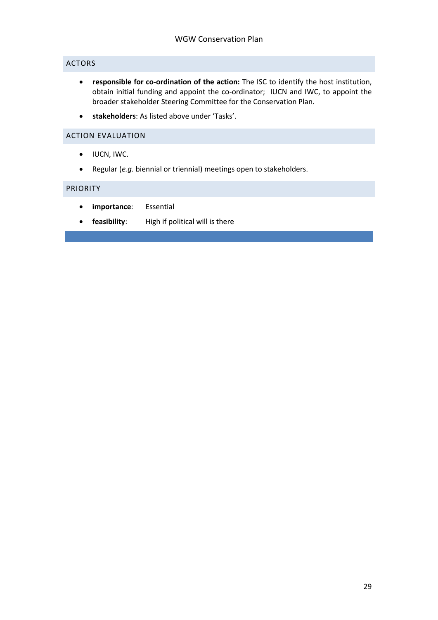#### <span id="page-28-0"></span>ACTORS

- **responsible for co-ordination of the action:** The ISC to identify the host institution, obtain initial funding and appoint the co-ordinator; IUCN and IWC, to appoint the broader stakeholder Steering Committee for the Conservation Plan.
- **stakeholders**: As listed above under 'Tasks'.

#### <span id="page-28-1"></span>ACTION EVALUATION

- IUCN, IWC.
- Regular (*e.g.* biennial or triennial) meetings open to stakeholders.

#### <span id="page-28-2"></span>PRIORITY

- **importance**: Essential
- **feasibility**: High if political will is there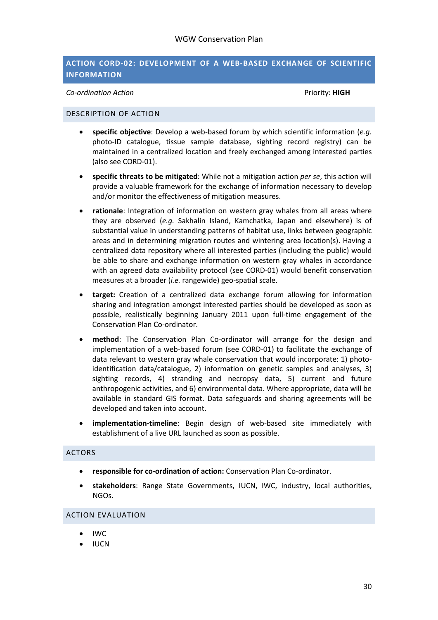#### <span id="page-29-0"></span>**ACTION CORD-02: DEVELOPMENT OF A WEB-BASED EXCHANGE OF SCIENTIFIC INFORMATION**

*Co-ordination Action* Priority: **HIGH**

#### <span id="page-29-1"></span>DESCRIPTION OF ACTION

- **specific objective**: Develop a web-based forum by which scientific information (*e.g.* photo-ID catalogue, tissue sample database, sighting record registry) can be maintained in a centralized location and freely exchanged among interested parties (also see CORD-01).
- **specific threats to be mitigated**: While not a mitigation action *per se*, this action will provide a valuable framework for the exchange of information necessary to develop and/or monitor the effectiveness of mitigation measures.
- **rationale**: Integration of information on western gray whales from all areas where they are observed (*e.g.* Sakhalin Island, Kamchatka, Japan and elsewhere) is of substantial value in understanding patterns of habitat use, links between geographic areas and in determining migration routes and wintering area location(s). Having a centralized data repository where all interested parties (including the public) would be able to share and exchange information on western gray whales in accordance with an agreed data availability protocol (see CORD-01) would benefit conservation measures at a broader (*i.e.* rangewide) geo-spatial scale.
- **target:** Creation of a centralized data exchange forum allowing for information sharing and integration amongst interested parties should be developed as soon as possible, realistically beginning January 2011 upon full-time engagement of the Conservation Plan Co-ordinator.
- **method**: The Conservation Plan Co-ordinator will arrange for the design and implementation of a web-based forum (see CORD-01) to facilitate the exchange of data relevant to western gray whale conservation that would incorporate: 1) photoidentification data/catalogue, 2) information on genetic samples and analyses, 3) sighting records, 4) stranding and necropsy data, 5) current and future anthropogenic activities, and 6) environmental data. Where appropriate, data will be available in standard GIS format. Data safeguards and sharing agreements will be developed and taken into account.
- **implementation-timeline**: Begin design of web-based site immediately with establishment of a live URL launched as soon as possible.

#### <span id="page-29-2"></span>ACTORS

- **responsible for co-ordination of action:** Conservation Plan Co-ordinator.
- **stakeholders**: Range State Governments, IUCN, IWC, industry, local authorities, NGOs.

#### <span id="page-29-3"></span>ACTION EVALUATION

- IWC
- IUCN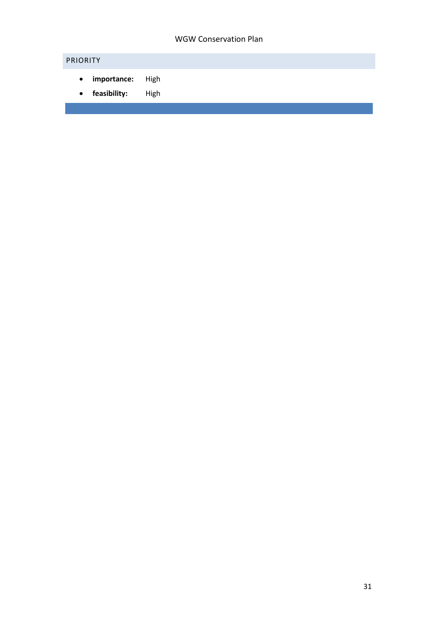# <span id="page-30-0"></span>PRIORITY

- **importance:** High
- **feasibility:** High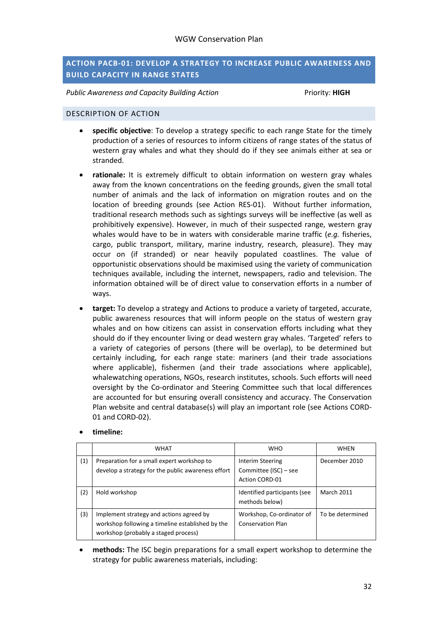#### <span id="page-31-0"></span>**ACTION PACB-01: DEVELOP A STRATEGY TO INCREASE PUBLIC AWARENESS AND BUILD CAPACITY IN RANGE STATES**

*Public Awareness and Capacity Building Action* Priority*:* **HIGH**

#### <span id="page-31-1"></span>DESCRIPTION OF ACTION

- **specific objective**: To develop a strategy specific to each range State for the timely production of a series of resources to inform citizens of range states of the status of western gray whales and what they should do if they see animals either at sea or stranded.
- **rationale:** It is extremely difficult to obtain information on western gray whales away from the known concentrations on the feeding grounds, given the small total number of animals and the lack of information on migration routes and on the location of breeding grounds (see Action RES-01). Without further information, traditional research methods such as sightings surveys will be ineffective (as well as prohibitively expensive). However, in much of their suspected range, western gray whales would have to be in waters with considerable marine traffic (*e.g.* fisheries, cargo, public transport, military, marine industry, research, pleasure). They may occur on (if stranded) or near heavily populated coastlines. The value of opportunistic observations should be maximised using the variety of communication techniques available, including the internet, newspapers, radio and television. The information obtained will be of direct value to conservation efforts in a number of ways.
- **target:** To develop a strategy and Actions to produce a variety of targeted, accurate, public awareness resources that will inform people on the status of western gray whales and on how citizens can assist in conservation efforts including what they should do if they encounter living or dead western gray whales. 'Targeted' refers to a variety of categories of persons (there will be overlap), to be determined but certainly including, for each range state: mariners (and their trade associations where applicable), fishermen (and their trade associations where applicable), whalewatching operations, NGOs, research institutes, schools. Such efforts will need oversight by the Co-ordinator and Steering Committee such that local differences are accounted for but ensuring overall consistency and accuracy. The Conservation Plan website and central database(s) will play an important role (see Actions CORD-01 and CORD-02).

| timeline: |  |
|-----------|--|
|           |  |

|     | <b>WHAT</b>                                                                                                                          | <b>WHO</b>                                                         | WHEN              |
|-----|--------------------------------------------------------------------------------------------------------------------------------------|--------------------------------------------------------------------|-------------------|
| (1) | Preparation for a small expert workshop to<br>develop a strategy for the public awareness effort                                     | Interim Steering<br>Committee (ISC) - see<br><b>Action CORD-01</b> | December 2010     |
| (2) | Hold workshop                                                                                                                        | Identified participants (see<br>methods below)                     | <b>March 2011</b> |
| (3) | Implement strategy and actions agreed by<br>workshop following a timeline established by the<br>workshop (probably a staged process) | Workshop, Co-ordinator of<br><b>Conservation Plan</b>              | To be determined  |

• **methods:** The ISC begin preparations for a small expert workshop to determine the strategy for public awareness materials, including: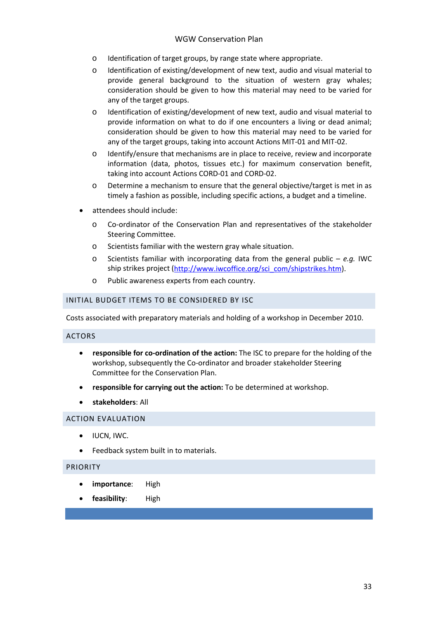- o Identification of target groups, by range state where appropriate.
- o Identification of existing/development of new text, audio and visual material to provide general background to the situation of western gray whales; consideration should be given to how this material may need to be varied for any of the target groups.
- o Identification of existing/development of new text, audio and visual material to provide information on what to do if one encounters a living or dead animal; consideration should be given to how this material may need to be varied for any of the target groups, taking into account Actions MIT-01 and MIT-02.
- o Identify/ensure that mechanisms are in place to receive, review and incorporate information (data, photos, tissues etc.) for maximum conservation benefit, taking into account Actions CORD-01 and CORD-02.
- o Determine a mechanism to ensure that the general objective/target is met in as timely a fashion as possible, including specific actions, a budget and a timeline.
- attendees should include:
	- o Co-ordinator of the Conservation Plan and representatives of the stakeholder Steering Committee.
	- o Scientists familiar with the western gray whale situation.
	- o Scientists familiar with incorporating data from the general public *e.g.* IWC ship strikes project [\(http://www.iwcoffice.org/sci\\_com/shipstrikes.htm\)](http://www.iwcoffice.org/sci_com/shipstrikes.htm).
	- o Public awareness experts from each country.

#### <span id="page-32-0"></span>INITIAL BUDGET ITEMS TO BE CONSIDERED BY ISC

Costs associated with preparatory materials and holding of a workshop in December 2010.

#### <span id="page-32-1"></span>ACTORS

- **responsible for co-ordination of the action:** The ISC to prepare for the holding of the workshop, subsequently the Co-ordinator and broader stakeholder Steering Committee for the Conservation Plan.
- **responsible for carrying out the action:** To be determined at workshop.
- **stakeholders**: All

#### <span id="page-32-2"></span>ACTION EVALUATION

- IUCN, IWC.
- Feedback system built in to materials.

#### <span id="page-32-3"></span>PRIORITY

- **importance**: High
- **feasibility**: High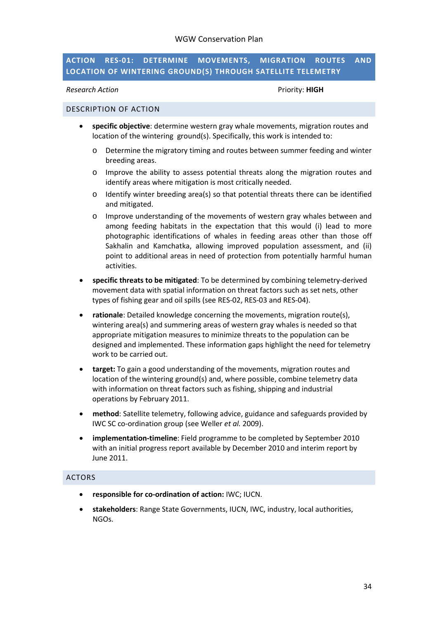#### <span id="page-33-0"></span>**ACTION RES-01: DETERMINE MOVEMENTS, MIGRATION ROUTES AND LOCATION OF WINTERING GROUND(S) THROUGH SATELLITE TELEMETRY**

**Research Action Priority: <b>HIGH** 

#### <span id="page-33-1"></span>DESCRIPTION OF ACTION

- **specific objective**: determine western gray whale movements, migration routes and location of the wintering ground(s). Specifically, this work is intended to:
	- o Determine the migratory timing and routes between summer feeding and winter breeding areas.
	- o Improve the ability to assess potential threats along the migration routes and identify areas where mitigation is most critically needed.
	- o Identify winter breeding area(s) so that potential threats there can be identified and mitigated.
	- o Improve understanding of the movements of western gray whales between and among feeding habitats in the expectation that this would (i) lead to more photographic identifications of whales in feeding areas other than those off Sakhalin and Kamchatka, allowing improved population assessment, and (ii) point to additional areas in need of protection from potentially harmful human activities.
- **specific threats to be mitigated**: To be determined by combining telemetry-derived movement data with spatial information on threat factors such as set nets, other types of fishing gear and oil spills (see RES-02, RES-03 and RES-04).
- **rationale**: Detailed knowledge concerning the movements, migration route(s), wintering area(s) and summering areas of western gray whales is needed so that appropriate mitigation measures to minimize threats to the population can be designed and implemented. These information gaps highlight the need for telemetry work to be carried out.
- **target:** To gain a good understanding of the movements, migration routes and location of the wintering ground(s) and, where possible, combine telemetry data with information on threat factors such as fishing, shipping and industrial operations by February 2011.
- **method**: Satellite telemetry, following advice, guidance and safeguards provided by IWC SC co-ordination group (see Weller *et al.* 2009).
- **implementation-timeline**: Field programme to be completed by September 2010 with an initial progress report available by December 2010 and interim report by June 2011.

#### <span id="page-33-2"></span>ACTORS

- **responsible for co-ordination of action:** IWC; IUCN.
- **stakeholders**: Range State Governments, IUCN, IWC, industry, local authorities, NGOs.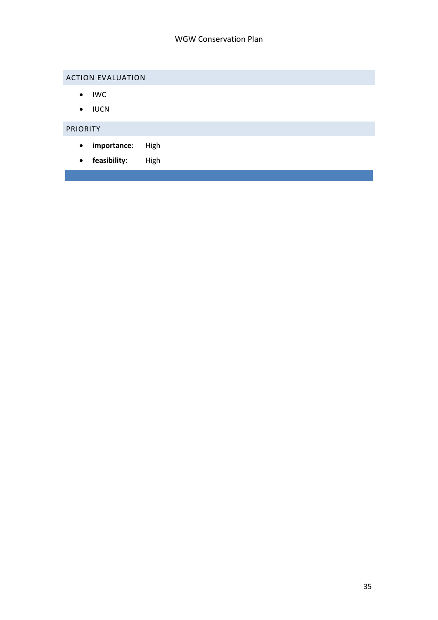# <span id="page-34-0"></span>ACTION EVALUATION

- IWC
- IUCN

# <span id="page-34-1"></span>PRIORITY

- **importance**: High
- **feasibility**: High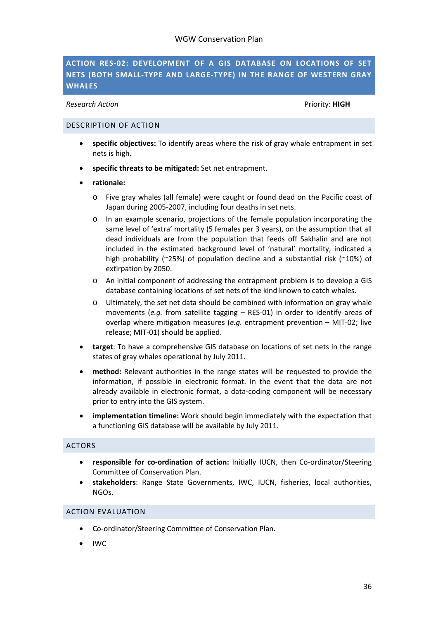### <span id="page-35-0"></span>**ACTION RES-02: DEVELOPMENT OF A GIS DATABASE ON LOCATIONS OF SET NETS (BOTH SMALL-TYPE AND LARGE-TYPE) IN THE RANGE OF WESTERN GRAY WHALES**

#### **Research Action Priority: <b>HIGH**

#### <span id="page-35-1"></span>DESCRIPTION OF ACTION

- **specific objectives:** To identify areas where the risk of gray whale entrapment in set nets is high.
- **specific threats to be mitigated:** Set net entrapment.
- **rationale:** 
	- o Five gray whales (all female) were caught or found dead on the Pacific coast of Japan during 2005-2007, including four deaths in set nets.
	- o In an example scenario, projections of the female population incorporating the same level of 'extra' mortality (5 females per 3 years), on the assumption that all dead individuals are from the population that feeds off Sakhalin and are not included in the estimated background level of 'natural' mortality, indicated a high probability (~25%) of population decline and a substantial risk (~10%) of extirpation by 2050.
	- o An initial component of addressing the entrapment problem is to develop a GIS database containing locations of set nets of the kind known to catch whales.
	- o Ultimately, the set net data should be combined with information on gray whale movements (*e.g.* from satellite tagging – RES-01) in order to identify areas of overlap where mitigation measures (*e.g.* entrapment prevention – MIT-02; live release; MIT-01) should be applied.
- **target**: To have a comprehensive GIS database on locations of set nets in the range states of gray whales operational by July 2011.
- **method:** Relevant authorities in the range states will be requested to provide the information, if possible in electronic format. In the event that the data are not already available in electronic format, a data-coding component will be necessary prior to entry into the GIS system.
- **implementation timeline:** Work should begin immediately with the expectation that a functioning GIS database will be available by July 2011.

#### <span id="page-35-2"></span>ACTORS

- **responsible for co-ordination of action:** Initially IUCN, then Co-ordinator/Steering Committee of Conservation Plan.
- **stakeholders**: Range State Governments, IWC, IUCN, fisheries, local authorities, NGOs.

#### <span id="page-35-3"></span>ACTION EVALUATION

- Co-ordinator/Steering Committee of Conservation Plan.
- IWC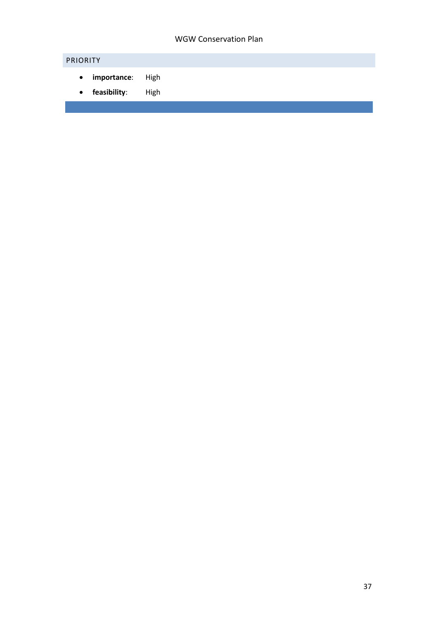# <span id="page-36-0"></span>PRIORITY

- **importance**: High
- **feasibility**: High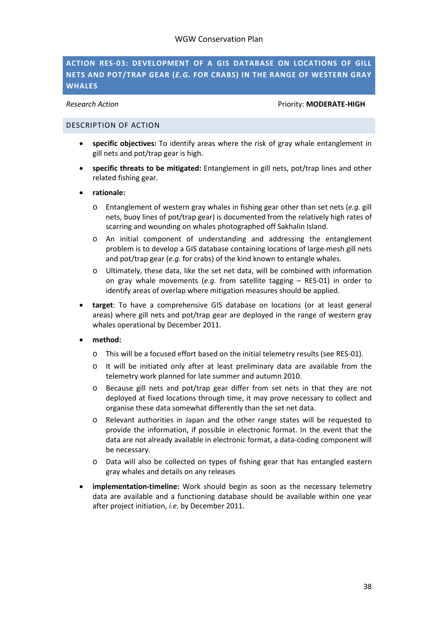#### <span id="page-37-0"></span>**ACTION RES-03: DEVELOPMENT OF A GIS DATABASE ON LOCATIONS OF GILL NETS AND POT/TRAP GEAR (***E.G.* **FOR CRABS) IN THE RANGE OF WESTERN GRAY WHALES**

**Research Action Priority: MODERATE-HIGH** 

#### <span id="page-37-1"></span>DESCRIPTION OF ACTION

- **specific objectives:** To identify areas where the risk of gray whale entanglement in gill nets and pot/trap gear is high.
- **specific threats to be mitigated:** Entanglement in gill nets, pot/trap lines and other related fishing gear.
- **rationale:**
	- o Entanglement of western gray whales in fishing gear other than set nets (*e.g.* gill nets, buoy lines of pot/trap gear) is documented from the relatively high rates of scarring and wounding on whales photographed off Sakhalin Island.
	- o An initial component of understanding and addressing the entanglement problem is to develop a GIS database containing locations of large-mesh gill nets and pot/trap gear (*e.g.* for crabs) of the kind known to entangle whales.
	- o Ultimately, these data, like the set net data, will be combined with information on gray whale movements (*e.g.* from satellite tagging – RES-01) in order to identify areas of overlap where mitigation measures should be applied.
- **target**: To have a comprehensive GIS database on locations (or at least general areas) where gill nets and pot/trap gear are deployed in the range of western gray whales operational by December 2011.
- **method:**
	- o This will be a focused effort based on the initial telemetry results (see RES-01).
	- o It will be initiated only after at least preliminary data are available from the telemetry work planned for late summer and autumn 2010.
	- o Because gill nets and pot/trap gear differ from set nets in that they are not deployed at fixed locations through time, it may prove necessary to collect and organise these data somewhat differently than the set net data.
	- o Relevant authorities in Japan and the other range states will be requested to provide the information, if possible in electronic format. In the event that the data are not already available in electronic format, a data-coding component will be necessary.
	- o Data will also be collected on types of fishing gear that has entangled eastern gray whales and details on any releases
- **implementation-timeline:** Work should begin as soon as the necessary telemetry data are available and a functioning database should be available within one year after project initiation, *i.e.* by December 2011.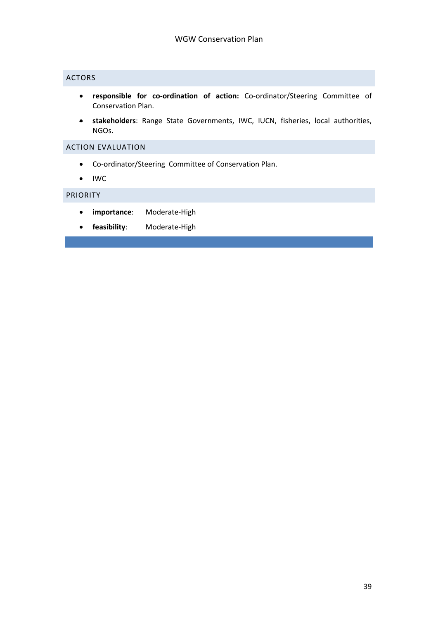### <span id="page-38-0"></span>ACTORS

- **responsible for co-ordination of action:** Co-ordinator/Steering Committee of Conservation Plan.
- **stakeholders**: Range State Governments, IWC, IUCN, fisheries, local authorities, NGOs.

#### <span id="page-38-1"></span>ACTION EVALUATION

- Co-ordinator/Steering Committee of Conservation Plan.
- IWC

#### <span id="page-38-2"></span>PRIORITY

- **importance**: Moderate-High
- **feasibility**: Moderate-High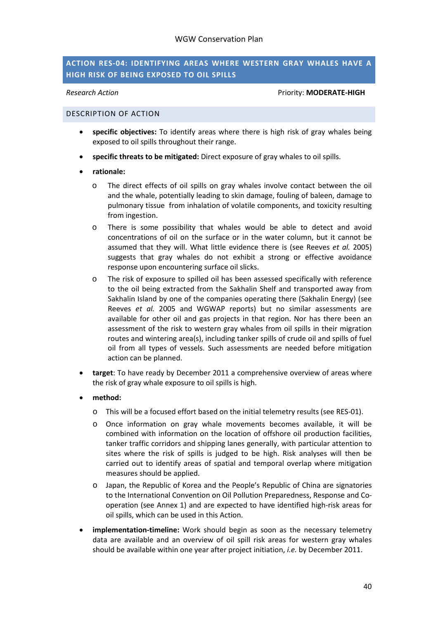#### <span id="page-39-0"></span>**ACTION RES-04: IDENTIFYING AREAS WHERE WESTERN GRAY WHALES HAVE A HIGH RISK OF BEING EXPOSED TO OIL SPILLS**

#### **Research Action Priority: MODERATE-HIGH**

#### <span id="page-39-1"></span>DESCRIPTION OF ACTION

- **specific objectives:** To identify areas where there is high risk of gray whales being exposed to oil spills throughout their range.
- **specific threats to be mitigated:** Direct exposure of gray whales to oil spills.
- **rationale:**
	- o The direct effects of oil spills on gray whales involve contact between the oil and the whale, potentially leading to skin damage, fouling of baleen, damage to pulmonary tissue from inhalation of volatile components, and toxicity resulting from ingestion.
	- o There is some possibility that whales would be able to detect and avoid concentrations of oil on the surface or in the water column, but it cannot be assumed that they will. What little evidence there is (see Reeves *et al.* 2005) suggests that gray whales do not exhibit a strong or effective avoidance response upon encountering surface oil slicks.
	- o The risk of exposure to spilled oil has been assessed specifically with reference to the oil being extracted from the Sakhalin Shelf and transported away from Sakhalin Island by one of the companies operating there (Sakhalin Energy) (see Reeves *et al.* 2005 and WGWAP reports) but no similar assessments are available for other oil and gas projects in that region. Nor has there been an assessment of the risk to western gray whales from oil spills in their migration routes and wintering area(s), including tanker spills of crude oil and spills of fuel oil from all types of vessels. Such assessments are needed before mitigation action can be planned.
- **target**: To have ready by December 2011 a comprehensive overview of areas where the risk of gray whale exposure to oil spills is high.

#### • **method:**

- o This will be a focused effort based on the initial telemetry results (see RES-01).
- o Once information on gray whale movements becomes available, it will be combined with information on the location of offshore oil production facilities, tanker traffic corridors and shipping lanes generally, with particular attention to sites where the risk of spills is judged to be high. Risk analyses will then be carried out to identify areas of spatial and temporal overlap where mitigation measures should be applied.
- o Japan, the Republic of Korea and the People's Republic of China are signatories to the International Convention on Oil Pollution Preparedness, Response and Cooperation (see Annex 1) and are expected to have identified high-risk areas for oil spills, which can be used in this Action.
- **implementation-timeline:** Work should begin as soon as the necessary telemetry data are available and an overview of oil spill risk areas for western gray whales should be available within one year after project initiation, *i.e.* by December 2011.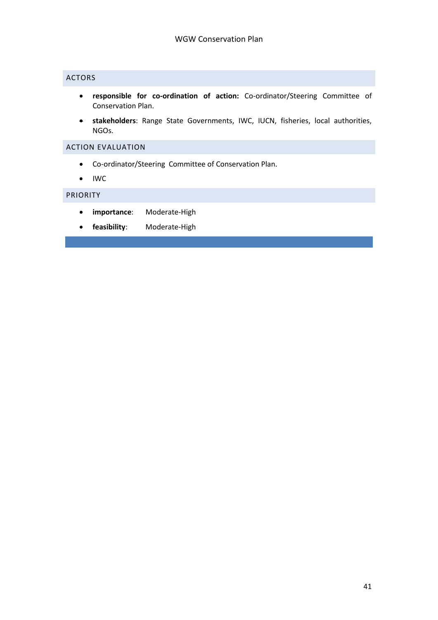### <span id="page-40-0"></span>ACTORS

- **responsible for co-ordination of action:** Co-ordinator/Steering Committee of Conservation Plan.
- **stakeholders**: Range State Governments, IWC, IUCN, fisheries, local authorities, NGOs.

#### <span id="page-40-1"></span>ACTION EVALUATION

- Co-ordinator/Steering Committee of Conservation Plan.
- IWC

#### <span id="page-40-2"></span>PRIORITY

- **importance**: Moderate-High
- **feasibility**: Moderate-High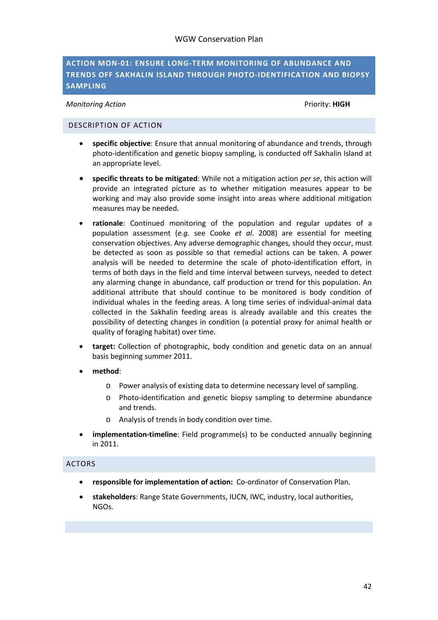### <span id="page-41-0"></span>**ACTION MON-01: ENSURE LONG-TERM MONITORING OF ABUNDANCE AND TRENDS OFF SAKHALIN ISLAND THROUGH PHOTO-IDENTIFICATION AND BIOPSY SAMPLING**

*Monitoring Action* Priority: **HIGH** 

#### <span id="page-41-1"></span>DESCRIPTION OF ACTION

- **specific objective**: Ensure that annual monitoring of abundance and trends, through photo-identification and genetic biopsy sampling, is conducted off Sakhalin Island at an appropriate level.
- **specific threats to be mitigated**: While not a mitigation action *per se*, this action will provide an integrated picture as to whether mitigation measures appear to be working and may also provide some insight into areas where additional mitigation measures may be needed.
- **rationale**: Continued monitoring of the population and regular updates of a population assessment (*e.g.* see Cooke *et al*. 2008) are essential for meeting conservation objectives. Any adverse demographic changes, should they occur, must be detected as soon as possible so that remedial actions can be taken. A power analysis will be needed to determine the scale of photo-identification effort, in terms of both days in the field and time interval between surveys, needed to detect any alarming change in abundance, calf production or trend for this population. An additional attribute that should continue to be monitored is body condition of individual whales in the feeding areas. A long time series of individual-animal data collected in the Sakhalin feeding areas is already available and this creates the possibility of detecting changes in condition (a potential proxy for animal health or quality of foraging habitat) over time.
- **target:** Collection of photographic, body condition and genetic data on an annual basis beginning summer 2011.
- **method**:
	- o Power analysis of existing data to determine necessary level of sampling.
	- o Photo-identification and genetic biopsy sampling to determine abundance and trends.
	- o Analysis of trends in body condition over time.
- **implementation-timeline**: Field programme(s) to be conducted annually beginning in 2011.

#### <span id="page-41-2"></span>ACTORS

- **responsible for implementation of action:** Co-ordinator of Conservation Plan.
- **stakeholders**: Range State Governments, IUCN, IWC, industry, local authorities, NGOs.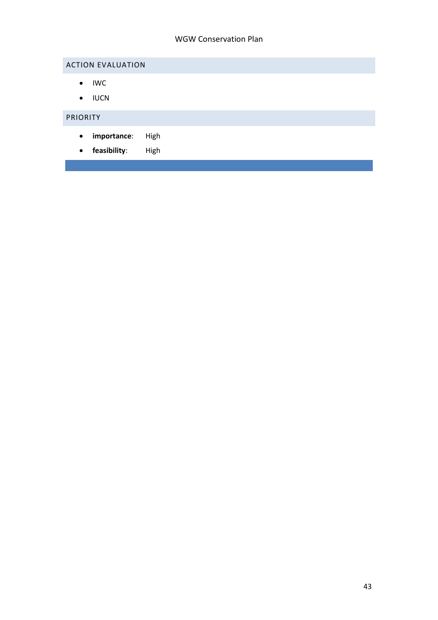# <span id="page-42-0"></span>ACTION EVALUATION

- IWC
- IUCN

# <span id="page-42-1"></span>PRIORITY

- **importance**: High
- **feasibility**: High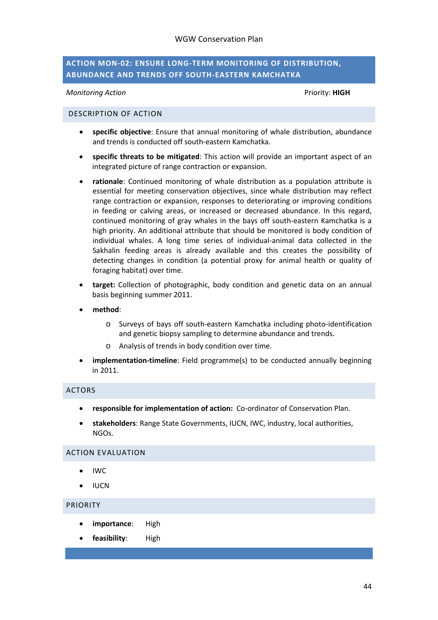#### <span id="page-43-0"></span>**ACTION MON-02: ENSURE LONG-TERM MONITORING OF DISTRIBUTION, ABUNDANCE AND TRENDS OFF SOUTH-EASTERN KAMCHATKA**

*Monitoring Action* Priority: **HIGH**

#### <span id="page-43-1"></span>DESCRIPTION OF ACTION

- **specific objective**: Ensure that annual monitoring of whale distribution, abundance and trends is conducted off south-eastern Kamchatka.
- **specific threats to be mitigated**: This action will provide an important aspect of an integrated picture of range contraction or expansion.
- **rationale**: Continued monitoring of whale distribution as a population attribute is essential for meeting conservation objectives, since whale distribution may reflect range contraction or expansion, responses to deteriorating or improving conditions in feeding or calving areas, or increased or decreased abundance. In this regard, continued monitoring of gray whales in the bays off south-eastern Kamchatka is a high priority. An additional attribute that should be monitored is body condition of individual whales. A long time series of individual-animal data collected in the Sakhalin feeding areas is already available and this creates the possibility of detecting changes in condition (a potential proxy for animal health or quality of foraging habitat) over time.
- **target:** Collection of photographic, body condition and genetic data on an annual basis beginning summer 2011.
- **method**:
	- o Surveys of bays off south-eastern Kamchatka including photo-identification and genetic biopsy sampling to determine abundance and trends.
	- o Analysis of trends in body condition over time.
- **implementation-timeline**: Field programme(s) to be conducted annually beginning in 2011.

#### <span id="page-43-2"></span>ACTORS

- **responsible for implementation of action:** Co-ordinator of Conservation Plan.
- **stakeholders**: Range State Governments, IUCN, IWC, industry, local authorities, NGOs.

#### <span id="page-43-3"></span>ACTION EVALUATION

- IWC
- IUCN

#### <span id="page-43-4"></span>PRIORITY

- **importance**: High
- **feasibility**: High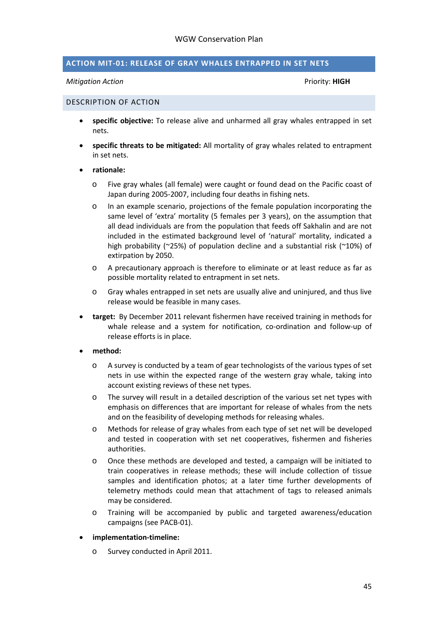#### <span id="page-44-0"></span>**ACTION MIT-01: RELEASE OF GRAY WHALES ENTRAPPED IN SET NETS**

#### *Mitigation Action* Priority: **HIGH**

#### <span id="page-44-1"></span>DESCRIPTION OF ACTION

- **specific objective:** To release alive and unharmed all gray whales entrapped in set nets.
- **specific threats to be mitigated:** All mortality of gray whales related to entrapment in set nets.

#### • **rationale:**

- o Five gray whales (all female) were caught or found dead on the Pacific coast of Japan during 2005-2007, including four deaths in fishing nets.
- o In an example scenario, projections of the female population incorporating the same level of 'extra' mortality (5 females per 3 years), on the assumption that all dead individuals are from the population that feeds off Sakhalin and are not included in the estimated background level of 'natural' mortality, indicated a high probability (~25%) of population decline and a substantial risk (~10%) of extirpation by 2050.
- o A precautionary approach is therefore to eliminate or at least reduce as far as possible mortality related to entrapment in set nets.
- o Gray whales entrapped in set nets are usually alive and uninjured, and thus live release would be feasible in many cases.
- **target:** By December 2011 relevant fishermen have received training in methods for whale release and a system for notification, co-ordination and follow-up of release efforts is in place.
- **method:** 
	- o A survey is conducted by a team of gear technologists of the various types of set nets in use within the expected range of the western gray whale, taking into account existing reviews of these net types.
	- o The survey will result in a detailed description of the various set net types with emphasis on differences that are important for release of whales from the nets and on the feasibility of developing methods for releasing whales.
	- o Methods for release of gray whales from each type of set net will be developed and tested in cooperation with set net cooperatives, fishermen and fisheries authorities.
	- o Once these methods are developed and tested, a campaign will be initiated to train cooperatives in release methods; these will include collection of tissue samples and identification photos; at a later time further developments of telemetry methods could mean that attachment of tags to released animals may be considered.
	- o Training will be accompanied by public and targeted awareness/education campaigns (see PACB-01).
- **implementation-timeline:** 
	- o Survey conducted in April 2011.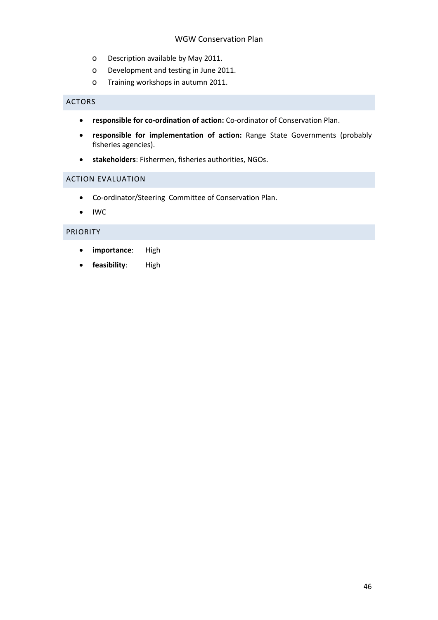- o Description available by May 2011.
- o Development and testing in June 2011.
- o Training workshops in autumn 2011.

#### <span id="page-45-0"></span>ACTORS

- **responsible for co-ordination of action:** Co-ordinator of Conservation Plan.
- **responsible for implementation of action:** Range State Governments (probably fisheries agencies).
- **stakeholders**: Fishermen, fisheries authorities, NGOs.

#### <span id="page-45-1"></span>ACTION EVALUATION

- Co-ordinator/Steering Committee of Conservation Plan.
- IWC

#### <span id="page-45-2"></span>PRIORITY

- **importance**: High
- **feasibility**: High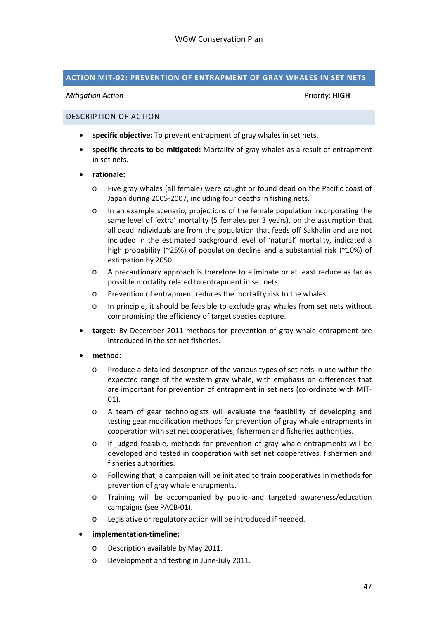#### <span id="page-46-0"></span>**ACTION MIT-02: PREVENTION OF ENTRAPMENT OF GRAY WHALES IN SET NETS**

#### *Mitigation Action* Priority: **HIGH**

#### <span id="page-46-1"></span>DESCRIPTION OF ACTION

- **specific objective:** To prevent entrapment of gray whales in set nets.
- **specific threats to be mitigated:** Mortality of gray whales as a result of entrapment in set nets.
- **rationale:**
	- o Five gray whales (all female) were caught or found dead on the Pacific coast of Japan during 2005-2007, including four deaths in fishing nets.
	- o In an example scenario, projections of the female population incorporating the same level of 'extra' mortality (5 females per 3 years), on the assumption that all dead individuals are from the population that feeds off Sakhalin and are not included in the estimated background level of 'natural' mortality, indicated a high probability (~25%) of population decline and a substantial risk (~10%) of extirpation by 2050.
	- o A precautionary approach is therefore to eliminate or at least reduce as far as possible mortality related to entrapment in set nets.
	- o Prevention of entrapment reduces the mortality risk to the whales.
	- o In principle, it should be feasible to exclude gray whales from set nets without compromising the efficiency of target species capture.
- **target:** By December 2011 methods for prevention of gray whale entrapment are introduced in the set net fisheries.
- **method:** 
	- o Produce a detailed description of the various types of set nets in use within the expected range of the western gray whale, with emphasis on differences that are important for prevention of entrapment in set nets (co-ordinate with MIT-01).
	- o A team of gear technologists will evaluate the feasibility of developing and testing gear modification methods for prevention of gray whale entrapments in cooperation with set net cooperatives, fishermen and fisheries authorities.
	- o If judged feasible, methods for prevention of gray whale entrapments will be developed and tested in cooperation with set net cooperatives, fishermen and fisheries authorities.
	- o Following that, a campaign will be initiated to train cooperatives in methods for prevention of gray whale entrapments.
	- o Training will be accompanied by public and targeted awareness/education campaigns (see PACB-01).
	- o Legislative or regulatory action will be introduced if needed.
- **implementation-timeline:** 
	- o Description available by May 2011.
	- o Development and testing in June-July 2011.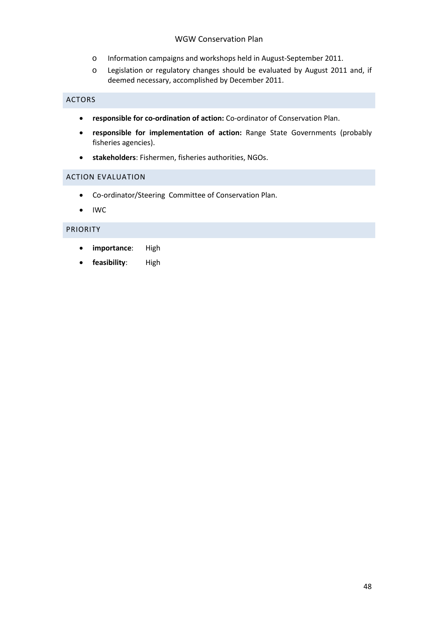- o Information campaigns and workshops held in August-September 2011.
- o Legislation or regulatory changes should be evaluated by August 2011 and, if deemed necessary, accomplished by December 2011.

#### <span id="page-47-0"></span>ACTORS

- **responsible for co-ordination of action:** Co-ordinator of Conservation Plan.
- **responsible for implementation of action:** Range State Governments (probably fisheries agencies).
- **stakeholders**: Fishermen, fisheries authorities, NGOs.

#### <span id="page-47-1"></span>ACTION EVALUATION

- Co-ordinator/Steering Committee of Conservation Plan.
- IWC

#### <span id="page-47-2"></span>PRIORITY

- **importance**: High
- **feasibility**: High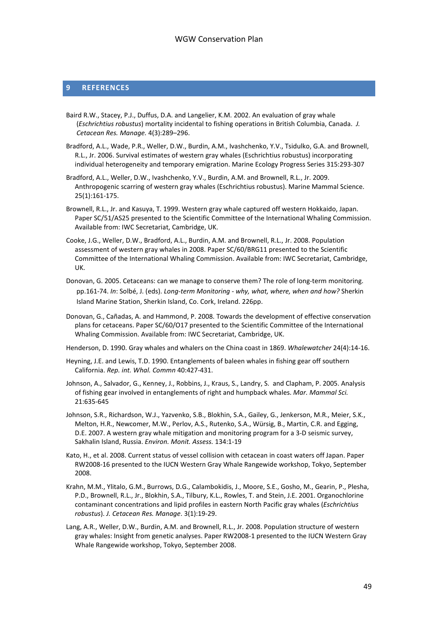#### <span id="page-48-0"></span>**9 REFERENCES**

- Baird R.W., Stacey, P.J., Duffus, D.A. and Langelier, K.M. 2002. An evaluation of gray whale (*Eschrichtius robustus*) mortality incidental to fishing operations in British Columbia, Canada.*J. Cetacean Res. Manage.* 4(3):289–296.
- Bradford, A.L., Wade, P.R., Weller, D.W., Burdin, A.M., Ivashchenko, Y.V., Tsidulko, G.A. and Brownell, R.L., Jr. 2006. Survival estimates of western gray whales (Eschrichtius robustus) incorporating individual heterogeneity and temporary emigration. Marine Ecology Progress Series 315:293-307
- Bradford, A.L., Weller, D.W., Ivashchenko, Y.V., Burdin, A.M. and Brownell, R.L., Jr. 2009. Anthropogenic scarring of western gray whales (Eschrichtius robustus). Marine Mammal Science. 25(1):161-175.
- Brownell, R.L., Jr. and Kasuya, T. 1999. Western gray whale captured off western Hokkaido, Japan. Paper SC/51/AS25 presented to the Scientific Committee of the International Whaling Commission. Available from: IWC Secretariat, Cambridge, UK.
- Cooke, J.G., Weller, D.W., Bradford, A.L., Burdin, A.M. and Brownell, R.L., Jr. 2008. Population assessment of western gray whales in 2008. Paper SC/60/BRG11 presented to the Scientific Committee of the International Whaling Commission. Available from: IWC Secretariat, Cambridge, UK.
- Donovan, G. 2005. Cetaceans: can we manage to conserve them? The role of long-term monitoring. pp.161-74. *In*: Solbé, J. (eds). *Long-term Monitoring - why, what, where, when and how?* Sherkin Island Marine Station, Sherkin Island, Co. Cork, Ireland. 226pp.
- Donovan, G., Cañadas, A. and Hammond, P. 2008. Towards the development of effective conservation plans for cetaceans. Paper SC/60/O17 presented to the Scientific Committee of the International Whaling Commission. Available from: IWC Secretariat, Cambridge, UK.
- Henderson, D. 1990. Gray whales and whalers on the China coast in 1869. *Whalewatcher* 24(4):14-16.
- Heyning, J.E. and Lewis, T.D. 1990. Entanglements of baleen whales in fishing gear off southern California. *Rep. int. Whal. Commn* 40:427-431.
- Johnson, A., Salvador, G., Kenney, J., Robbins, J., Kraus, S., Landry, S. and Clapham, P. 2005. Analysis of fishing gear involved in entanglements of right and humpback whales. *Mar. Mammal Sci.* 21:635-645
- Johnson, S.R., Richardson, W.J., Yazvenko, S.B., Blokhin, S.A., Gailey, G., Jenkerson, M.R., Meier, S.K., Melton, H.R., Newcomer, M.W., Perlov, A.S., Rutenko, S.A., Würsig, B., Martin, C.R. and Egging, D.E. 2007. A western gray whale mitigation and monitoring program for a 3-D seismic survey, Sakhalin Island, Russia. *Environ. Monit. Assess.* 134:1-19
- Kato, H., et al. 2008. Current status of vessel collision with cetacean in coast waters off Japan. Paper RW2008-16 presented to the IUCN Western Gray Whale Rangewide workshop, Tokyo, September 2008.
- Krahn, M.M., Ylitalo, G.M., Burrows, D.G., Calambokidis, J., Moore, S.E., Gosho, M., Gearin, P., Plesha, P.D., Brownell, R.L., Jr., Blokhin, S.A., Tilbury, K.L., Rowles, T. and Stein, J.E. 2001. Organochlorine contaminant concentrations and lipid profiles in eastern North Pacific gray whales (*Eschrichtius robustus*). *J. Cetacean Res. Manage*. 3(1):19-29.
- Lang, A.R., Weller, D.W., Burdin, A.M. and Brownell, R.L., Jr. 2008. Population structure of western gray whales: Insight from genetic analyses. Paper RW2008-1 presented to the IUCN Western Gray Whale Rangewide workshop, Tokyo, September 2008.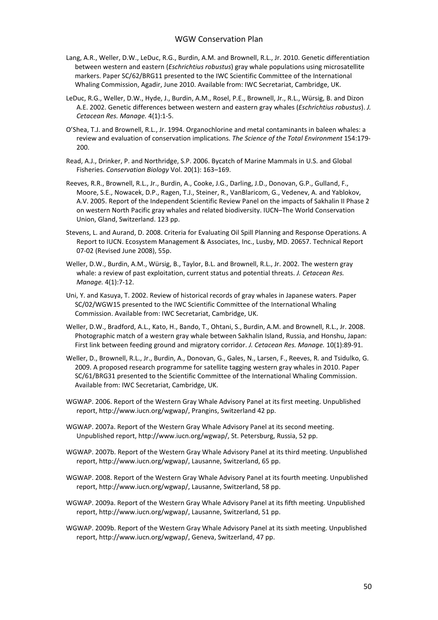- Lang, A.R., Weller, D.W., LeDuc, R.G., Burdin, A.M. and Brownell, R.L., Jr. 2010. Genetic differentiation between western and eastern (*Eschrichtius robustus*) gray whale populations using microsatellite markers. Paper SC/62/BRG11 presented to the IWC Scientific Committee of the International Whaling Commission, Agadir, June 2010. Available from: IWC Secretariat, Cambridge, UK.
- LeDuc, R.G., Weller, D.W., Hyde, J., Burdin, A.M., Rosel, P.E., Brownell, Jr., R.L., Würsig, B. and Dizon A.E. 2002. Genetic differences between western and eastern gray whales (*Eschrichtius robustus*). *J. Cetacean Res. Manage.* 4(1):1-5.
- O'Shea, T.J. and Brownell, R.L., Jr. 1994. Organochlorine and metal contaminants in baleen whales: a review and evaluation of conservation implications. *The Science of the Total Environment* 154:179- 200.
- Read, A.J., Drinker, P. and Northridge, S.P. 2006. Bycatch of Marine Mammals in U.S. and Global Fisheries. *Conservation Biology* Vol. 20(1): 163–169.
- Reeves, R.R., Brownell, R.L., Jr., Burdin, A., Cooke, J.G., Darling, J.D., Donovan, G.P., Gulland, F., Moore, S.E., Nowacek, D.P., Ragen, T.J., Steiner, R., VanBlaricom, G., Vedenev, A. and Yablokov, A.V. 2005. Report of the Independent Scientific Review Panel on the impacts of Sakhalin II Phase 2 on western North Pacific gray whales and related biodiversity. IUCN–The World Conservation Union, Gland, Switzerland. 123 pp.
- Stevens, L. and Aurand, D. 2008. Criteria for Evaluating Oil Spill Planning and Response Operations. A Report to IUCN. Ecosystem Management & Associates, Inc., Lusby, MD. 20657. Technical Report 07-02 (Revised June 2008), 55p.
- Weller, D.W., Burdin, A.M., Würsig, B., Taylor, B.L. and Brownell, R.L., Jr. 2002. The western gray whale: a review of past exploitation, current status and potential threats. *J. Cetacean Res. Manage.* 4(1):7-12.
- Uni, Y. and Kasuya, T. 2002. Review of historical records of gray whales in Japanese waters. Paper SC/02/WGW15 presented to the IWC Scientific Committee of the International Whaling Commission. Available from: IWC Secretariat, Cambridge, UK.
- Weller, D.W., Bradford, A.L., Kato, H., Bando, T., Ohtani, S., Burdin, A.M. and Brownell, R.L., Jr. 2008. Photographic match of a western gray whale between Sakhalin Island, Russia, and Honshu, Japan: First link between feeding ground and migratory corridor. *J. Cetacean Res. Manage.* 10(1):89-91.
- Weller, D., Brownell, R.L., Jr., Burdin, A., Donovan, G., Gales, N., Larsen, F., Reeves, R. and Tsidulko, G. 2009. A proposed research programme for satellite tagging western gray whales in 2010. Paper SC/61/BRG31 presented to the Scientific Committee of the International Whaling Commission. Available from: IWC Secretariat, Cambridge, UK.
- WGWAP. 2006. Report of the Western Gray Whale Advisory Panel at its first meeting. Unpublished report, http://www.iucn.org/wgwap/, Prangins, Switzerland 42 pp.
- WGWAP. 2007a. Report of the Western Gray Whale Advisory Panel at its second meeting. Unpublished report, http://www.iucn.org/wgwap/, St. Petersburg, Russia, 52 pp.
- WGWAP. 2007b. Report of the Western Gray Whale Advisory Panel at its third meeting. Unpublished report, http://www.iucn.org/wgwap/, Lausanne, Switzerland, 65 pp.
- WGWAP. 2008. Report of the Western Gray Whale Advisory Panel at its fourth meeting. Unpublished report, http://www.iucn.org/wgwap/, Lausanne, Switzerland, 58 pp.
- WGWAP. 2009a. Report of the Western Gray Whale Advisory Panel at its fifth meeting. Unpublished report, http://www.iucn.org/wgwap/, Lausanne, Switzerland, 51 pp.
- WGWAP. 2009b. Report of the Western Gray Whale Advisory Panel at its sixth meeting. Unpublished report, http://www.iucn.org/wgwap/, Geneva, Switzerland, 47 pp.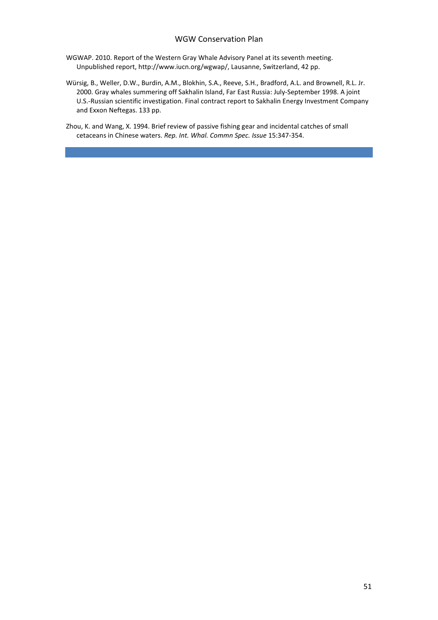- WGWAP. 2010. Report of the Western Gray Whale Advisory Panel at its seventh meeting. Unpublished report, http://www.iucn.org/wgwap/, Lausanne, Switzerland, 42 pp.
- Würsig, B., Weller, D.W., Burdin, A.M., Blokhin, S.A., Reeve, S.H., Bradford, A.L. and Brownell, R.L. Jr. 2000. Gray whales summering off Sakhalin Island, Far East Russia: July-September 1998. A joint U.S.-Russian scientific investigation. Final contract report to Sakhalin Energy Investment Company and Exxon Neftegas. 133 pp.
- Zhou, K. and Wang, X. 1994. Brief review of passive fishing gear and incidental catches of small cetaceans in Chinese waters. *Rep. Int. Whal. Commn Spec. Issue* 15:347-354.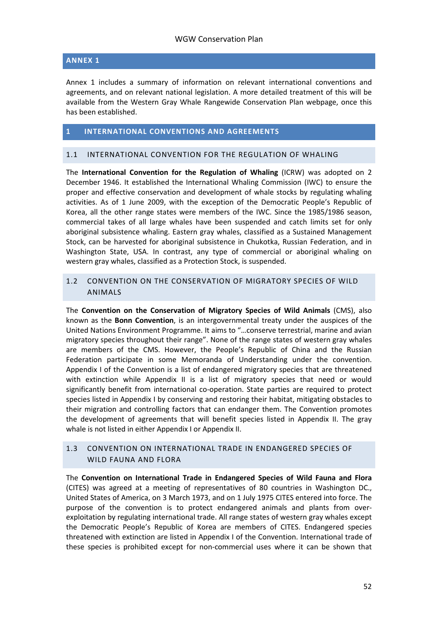#### <span id="page-51-0"></span>**ANNEX 1**

Annex 1 includes a summary of information on relevant international conventions and agreements, and on relevant national legislation. A more detailed treatment of this will be available from the Western Gray Whale Rangewide Conservation Plan webpage, once this has been established.

#### <span id="page-51-1"></span>**1 INTERNATIONAL CONVENTIONS AND AGREEMENTS**

#### <span id="page-51-2"></span>1.1 INTERNATIONAL CONVENTION FOR THE REGULATION OF WHALING

The **International Convention for the Regulation of Whaling** (ICRW) was adopted on 2 December 1946. It established the International Whaling Commission (IWC) to ensure the proper and effective conservation and development of whale stocks by regulating whaling activities. As of 1 June 2009, with the exception of the Democratic People's Republic of Korea, all the other range states were members of the IWC. Since the 1985/1986 season, commercial takes of all large whales have been suspended and catch limits set for only aboriginal subsistence whaling. Eastern gray whales, classified as a Sustained Management Stock, can be harvested for aboriginal subsistence in Chukotka, Russian Federation, and in Washington State, USA. In contrast, any type of commercial or aboriginal whaling on western gray whales, classified as a Protection Stock, is suspended.

#### <span id="page-51-3"></span>1.2 CONVENTION ON THE CONSERVATION OF MIGRATORY SPECIES OF WILD ANIMALS

The **Convention on the Conservation of Migratory Species of Wild Animals** (CMS), also known as the **Bonn Convention**, is an intergovernmental treaty under the auspices of the United Nations Environment Programme. It aims to "…conserve terrestrial, marine and avian migratory species throughout their range". None of the range states of western gray whales are members of the CMS. However, the People's Republic of China and the Russian Federation participate in some Memoranda of Understanding under the convention. Appendix I of the Convention is a list of endangered migratory species that are threatened with extinction while Appendix II is a list of migratory species that need or would significantly benefit from international co-operation. State parties are required to protect species listed in Appendix I by conserving and restoring their habitat, mitigating obstacles to their migration and controlling factors that can endanger them. The Convention promotes the development of agreements that will benefit species listed in Appendix II. The gray whale is not listed in either Appendix I or Appendix II.

#### <span id="page-51-4"></span>1.3 CONVENTION ON INTERNATIONAL TRADE IN ENDANGERED SPECIES OF WILD FAUNA AND FLORA

The **Convention on International Trade in Endangered Species of Wild Fauna and Flora**  (CITES) was agreed at a meeting of representatives of 80 countries in Washington DC., United States of America, on 3 March 1973, and on 1 July 1975 CITES entered into force. The purpose of the convention is to protect endangered animals and plants from overexploitation by regulating international trade. All range states of western gray whales except the Democratic People's Republic of Korea are members of CITES. Endangered species threatened with extinction are listed in Appendix I of the Convention. International trade of these species is prohibited except for non-commercial uses where it can be shown that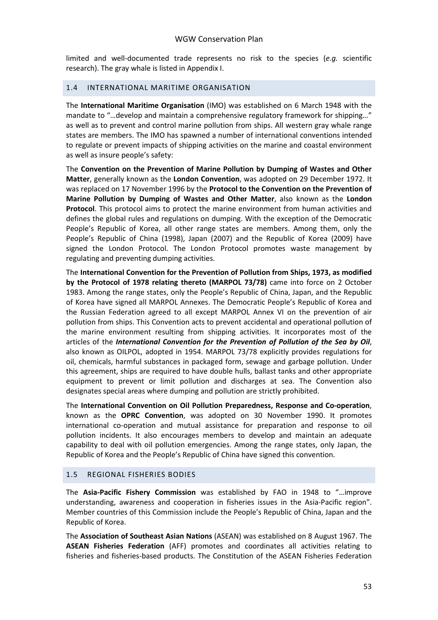limited and well-documented trade represents no risk to the species (*e.g.* scientific research). The gray whale is listed in Appendix I.

#### <span id="page-52-0"></span>1.4 INTERNATIONAL MARITIME ORGANISATION

The **International Maritime Organisation** (IMO) was established on 6 March 1948 with the mandate to "…develop and maintain a comprehensive regulatory framework for shipping…" as well as to prevent and control marine pollution from ships. All western gray whale range states are members. The IMO has spawned a number of international conventions intended to regulate or prevent impacts of shipping activities on the marine and coastal environment as well as insure people's safety:

The **Convention on the Prevention of Marine Pollution by Dumping of Wastes and Other Matter**, generally known as the **London Convention**, was adopted on 29 December 1972. It was replaced on 17 November 1996 by the **Protocol to the Convention on the Prevention of Marine Pollution by Dumping of Wastes and Other Matter**, also known as the **London Protocol**. This protocol aims to protect the marine environment from human activities and defines the global rules and regulations on dumping. With the exception of the Democratic People's Republic of Korea, all other range states are members. Among them, only the People's Republic of China (1998), Japan (2007) and the Republic of Korea (2009) have signed the London Protocol. The London Protocol promotes waste management by regulating and preventing dumping activities.

The **International Convention for the Prevention of Pollution from Ships, 1973, as modified by the Protocol of 1978 relating thereto (MARPOL 73/78)** came into force on 2 October 1983. Among the range states, only the People's Republic of China, Japan, and the Republic of Korea have signed all MARPOL Annexes. The Democratic People's Republic of Korea and the Russian Federation agreed to all except MARPOL Annex VI on the prevention of air pollution from ships. This Convention acts to prevent accidental and operational pollution of the marine environment resulting from shipping activities. It incorporates most of the articles of the *International Convention for the Prevention of Pollution of the Sea by Oil*, also known as OILPOL, adopted in 1954. MARPOL 73/78 explicitly provides regulations for oil, chemicals, harmful substances in packaged form, sewage and garbage pollution. Under this agreement, ships are required to have double hulls, ballast tanks and other appropriate equipment to prevent or limit pollution and discharges at sea. The Convention also designates special areas where dumping and pollution are strictly prohibited.

The **International Convention on Oil Pollution Preparedness, Response and Co-operation**, known as the **OPRC Convention**, was adopted on 30 November 1990. It promotes international co-operation and mutual assistance for preparation and response to oil pollution incidents. It also encourages members to develop and maintain an adequate capability to deal with oil pollution emergencies. Among the range states, only Japan, the Republic of Korea and the People's Republic of China have signed this convention.

#### <span id="page-52-1"></span>1.5 REGIONAL FISHERIES BODIES

The **Asia-Pacific Fishery Commission** was established by FAO in 1948 to "…improve understanding, awareness and cooperation in fisheries issues in the Asia-Pacific region". Member countries of this Commission include the People's Republic of China, Japan and the Republic of Korea.

The **Association of Southeast Asian Nations** (ASEAN) was established on 8 August 1967. The **ASEAN Fisheries Federation** (AFF) promotes and coordinates all activities relating to fisheries and fisheries-based products. The Constitution of the ASEAN Fisheries Federation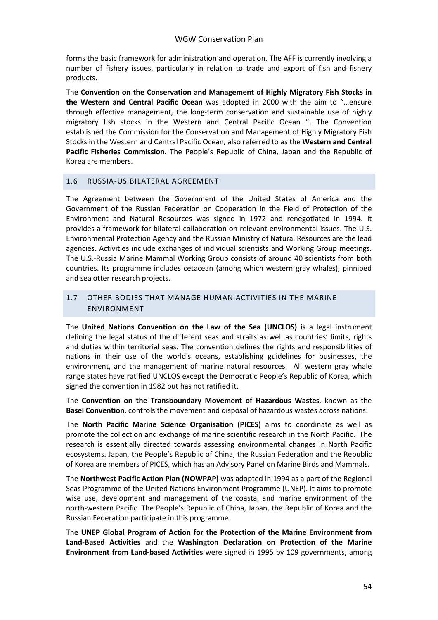forms the basic framework for administration and operation. The AFF is currently involving a number of fishery issues, particularly in relation to trade and export of fish and fishery products.

The **Convention on the Conservation and Management of Highly Migratory Fish Stocks in the Western and Central Pacific Ocean** was adopted in 2000 with the aim to "…ensure through effective management, the long-term conservation and sustainable use of highly migratory fish stocks in the Western and Central Pacific Ocean…". The Convention established the Commission for the Conservation and Management of Highly Migratory Fish Stocks in the Western and Central Pacific Ocean, also referred to as the **Western and Central Pacific Fisheries Commission**. The People's Republic of China, Japan and the Republic of Korea are members.

#### <span id="page-53-0"></span>1.6 RUSSIA-US BILATERAL AGREEMENT

The Agreement between the Government of the United States of America and the Government of the Russian Federation on Cooperation in the Field of Protection of the Environment and Natural Resources was signed in 1972 and renegotiated in 1994. It provides a framework for bilateral collaboration on relevant environmental issues. The U.S. Environmental Protection Agency and the Russian Ministry of Natural Resources are the lead agencies. Activities include exchanges of individual scientists and Working Group meetings. The U.S.-Russia Marine Mammal Working Group consists of around 40 scientists from both countries. Its programme includes cetacean (among which western gray whales), pinniped and sea otter research projects.

#### <span id="page-53-1"></span>1.7 OTHER BODIES THAT MANAGE HUMAN ACTIVITIES IN THE MARINE ENVIRONMENT

The **United Nations Convention on the Law of the Sea (UNCLOS)** is a legal instrument defining the legal status of the different seas and straits as well as countries' limits, rights and duties within territorial seas. The convention defines the rights and responsibilities of nations in their use of the world's oceans, establishing guidelines for businesses, the environment, and the management of marine natural resources. All western gray whale range states have ratified UNCLOS except the Democratic People's Republic of Korea, which signed the convention in 1982 but has not ratified it.

The **Convention on the Transboundary Movement of Hazardous Wastes**, known as the **Basel Convention**, controls the movement and disposal of hazardous wastes across nations.

The **North Pacific Marine Science Organisation (PICES)** aims to coordinate as well as promote the collection and exchange of marine scientific research in the North Pacific. The research is essentially directed towards assessing environmental changes in North Pacific ecosystems. Japan, the People's Republic of China, the Russian Federation and the Republic of Korea are members of PICES, which has an Advisory Panel on Marine Birds and Mammals.

The **Northwest Pacific Action Plan (NOWPAP)** was adopted in 1994 as a part of the Regional Seas Programme of the United Nations Environment Programme (UNEP). It aims to promote wise use, development and management of the coastal and marine environment of the north-western Pacific. The People's Republic of China, Japan, the Republic of Korea and the Russian Federation participate in this programme.

The **UNEP Global Program of Action for the Protection of the Marine Environment from Land-Based Activities** and the **Washington Declaration on Protection of the Marine Environment from Land-based Activities** were signed in 1995 by 109 governments, among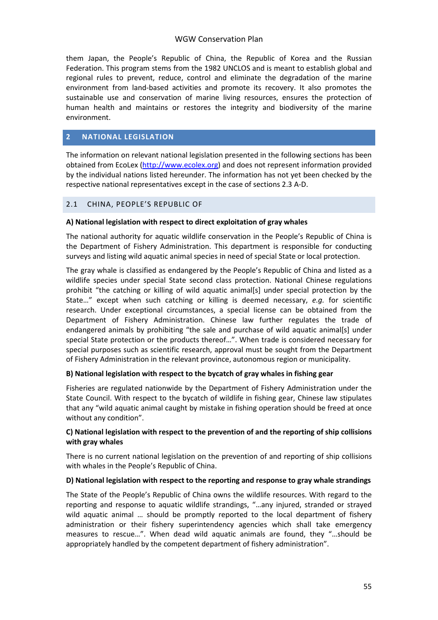them Japan, the People's Republic of China, the Republic of Korea and the Russian Federation. This program stems from the 1982 UNCLOS and is meant to establish global and regional rules to prevent, reduce, control and eliminate the degradation of the marine environment from land-based activities and promote its recovery. It also promotes the sustainable use and conservation of marine living resources, ensures the protection of human health and maintains or restores the integrity and biodiversity of the marine environment.

#### <span id="page-54-0"></span>**2 NATIONAL LEGISLATION**

The information on relevant national legislation presented in the following sections has been obtained from EcoLex [\(http://www.ecolex.org\)](http://www.ecolex.org/) and does not represent information provided by the individual nations listed hereunder. The information has not yet been checked by the respective national representatives except in the case of sections 2.3 A-D.

#### <span id="page-54-1"></span>2.1 CHINA, PEOPLE'S REPUBLIC OF

#### **A) National legislation with respect to direct exploitation of gray whales**

The national authority for aquatic wildlife conservation in the People's Republic of China is the Department of Fishery Administration. This department is responsible for conducting surveys and listing wild aquatic animal species in need of special State or local protection.

The gray whale is classified as endangered by the People's Republic of China and listed as a wildlife species under special State second class protection. National Chinese regulations prohibit "the catching or killing of wild aquatic animal[s] under special protection by the State…" except when such catching or killing is deemed necessary, *e.g.* for scientific research. Under exceptional circumstances, a special license can be obtained from the Department of Fishery Administration. Chinese law further regulates the trade of endangered animals by prohibiting "the sale and purchase of wild aquatic animal[s] under special State protection or the products thereof…". When trade is considered necessary for special purposes such as scientific research, approval must be sought from the Department of Fishery Administration in the relevant province, autonomous region or municipality.

#### **B) National legislation with respect to the bycatch of gray whales in fishing gear**

Fisheries are regulated nationwide by the Department of Fishery Administration under the State Council. With respect to the bycatch of wildlife in fishing gear, Chinese law stipulates that any "wild aquatic animal caught by mistake in fishing operation should be freed at once without any condition".

#### **C) National legislation with respect to the prevention of and the reporting of ship collisions with gray whales**

There is no current national legislation on the prevention of and reporting of ship collisions with whales in the People's Republic of China.

#### **D) National legislation with respect to the reporting and response to gray whale strandings**

The State of the People's Republic of China owns the wildlife resources. With regard to the reporting and response to aquatic wildlife strandings, "…any injured, stranded or strayed wild aquatic animal ... should be promptly reported to the local department of fishery administration or their fishery superintendency agencies which shall take emergency measures to rescue…". When dead wild aquatic animals are found, they "…should be appropriately handled by the competent department of fishery administration".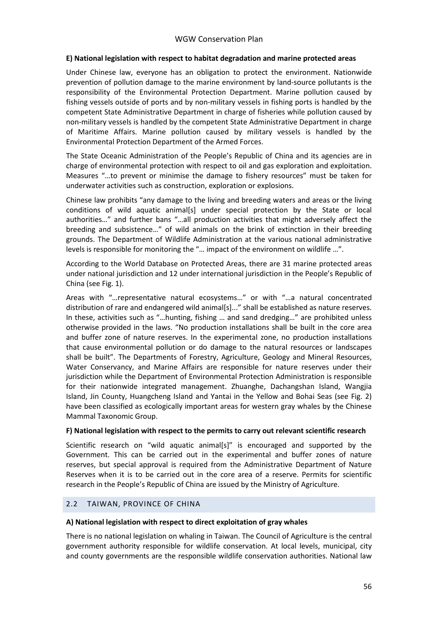#### **E) National legislation with respect to habitat degradation and marine protected areas**

Under Chinese law, everyone has an obligation to protect the environment. Nationwide prevention of pollution damage to the marine environment by land-source pollutants is the responsibility of the Environmental Protection Department. Marine pollution caused by fishing vessels outside of ports and by non-military vessels in fishing ports is handled by the competent State Administrative Department in charge of fisheries while pollution caused by non-military vessels is handled by the competent State Administrative Department in charge of Maritime Affairs. Marine pollution caused by military vessels is handled by the Environmental Protection Department of the Armed Forces.

The State Oceanic Administration of the People's Republic of China and its agencies are in charge of environmental protection with respect to oil and gas exploration and exploitation. Measures "…to prevent or minimise the damage to fishery resources" must be taken for underwater activities such as construction, exploration or explosions.

Chinese law prohibits "any damage to the living and breeding waters and areas or the living conditions of wild aquatic animal[s] under special protection by the State or local authorities…" and further bans "…all production activities that might adversely affect the breeding and subsistence…" of wild animals on the brink of extinction in their breeding grounds. The Department of Wildlife Administration at the various national administrative levels is responsible for monitoring the "… impact of the environment on wildlife …".

According to the World Database on Protected Areas, there are 31 marine protected areas under national jurisdiction and 12 under international jurisdiction in the People's Republic of China (see Fig. 1).

Areas with "…representative natural ecosystems…" or with "…a natural concentrated distribution of rare and endangered wild animal[s]..." shall be established as nature reserves. In these, activities such as "…hunting, fishing … and sand dredging…" are prohibited unless otherwise provided in the laws. "No production installations shall be built in the core area and buffer zone of nature reserves. In the experimental zone, no production installations that cause environmental pollution or do damage to the natural resources or landscapes shall be built". The Departments of Forestry, Agriculture, Geology and Mineral Resources, Water Conservancy, and Marine Affairs are responsible for nature reserves under their jurisdiction while the Department of Environmental Protection Administration is responsible for their nationwide integrated management. Zhuanghe, Dachangshan Island, Wangjia Island, Jin County, Huangcheng Island and Yantai in the Yellow and Bohai Seas (see Fig. 2) have been classified as ecologically important areas for western gray whales by the Chinese Mammal Taxonomic Group.

#### **F) National legislation with respect to the permits to carry out relevant scientific research**

Scientific research on "wild aquatic animal[s]" is encouraged and supported by the Government. This can be carried out in the experimental and buffer zones of nature reserves, but special approval is required from the Administrative Department of Nature Reserves when it is to be carried out in the core area of a reserve. Permits for scientific research in the People's Republic of China are issued by the Ministry of Agriculture.

#### <span id="page-55-0"></span>2.2 TAIWAN, PROVINCE OF CHINA

#### **A) National legislation with respect to direct exploitation of gray whales**

There is no national legislation on whaling in Taiwan. The Council of Agriculture is the central government authority responsible for wildlife conservation. At local levels, municipal, city and county governments are the responsible wildlife conservation authorities. National law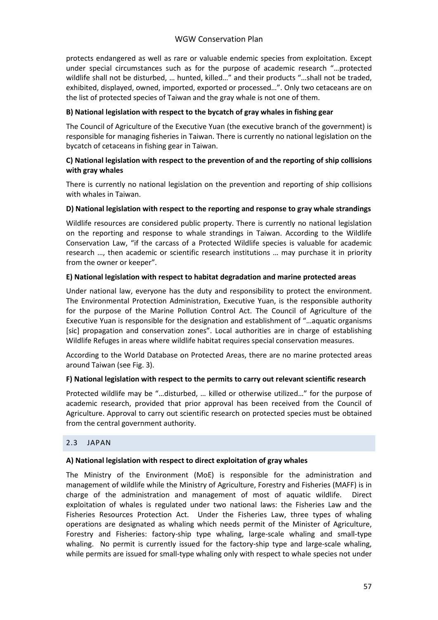protects endangered as well as rare or valuable endemic species from exploitation. Except under special circumstances such as for the purpose of academic research "…protected wildlife shall not be disturbed, … hunted, killed…" and their products "…shall not be traded, exhibited, displayed, owned, imported, exported or processed…". Only two cetaceans are on the list of protected species of Taiwan and the gray whale is not one of them.

#### **B) National legislation with respect to the bycatch of gray whales in fishing gear**

The Council of Agriculture of the Executive Yuan (the executive branch of the government) is responsible for managing fisheries in Taiwan. There is currently no national legislation on the bycatch of cetaceans in fishing gear in Taiwan.

#### **C) National legislation with respect to the prevention of and the reporting of ship collisions with gray whales**

There is currently no national legislation on the prevention and reporting of ship collisions with whales in Taiwan.

#### **D) National legislation with respect to the reporting and response to gray whale strandings**

Wildlife resources are considered public property. There is currently no national legislation on the reporting and response to whale strandings in Taiwan. According to the Wildlife Conservation Law, "if the carcass of a Protected Wildlife species is valuable for academic research …, then academic or scientific research institutions … may purchase it in priority from the owner or keeper".

#### **E) National legislation with respect to habitat degradation and marine protected areas**

Under national law, everyone has the duty and responsibility to protect the environment. The Environmental Protection Administration, Executive Yuan, is the responsible authority for the purpose of the Marine Pollution Control Act. The Council of Agriculture of the Executive Yuan is responsible for the designation and establishment of "…aquatic organisms [sic] propagation and conservation zones". Local authorities are in charge of establishing Wildlife Refuges in areas where wildlife habitat requires special conservation measures.

According to the World Database on Protected Areas, there are no marine protected areas around Taiwan (see Fig. 3).

#### **F) National legislation with respect to the permits to carry out relevant scientific research**

Protected wildlife may be "…disturbed, … killed or otherwise utilized…" for the purpose of academic research, provided that prior approval has been received from the Council of Agriculture. Approval to carry out scientific research on protected species must be obtained from the central government authority.

#### <span id="page-56-0"></span>2.3 JAPAN

#### **A) National legislation with respect to direct exploitation of gray whales**

The Ministry of the Environment (MoE) is responsible for the administration and management of wildlife while the Ministry of Agriculture, Forestry and Fisheries (MAFF) is in charge of the administration and management of most of aquatic wildlife. Direct exploitation of whales is regulated under two national laws: the Fisheries Law and the Fisheries Resources Protection Act. Under the Fisheries Law, three types of whaling operations are designated as whaling which needs permit of the Minister of Agriculture, Forestry and Fisheries: factory-ship type whaling, large-scale whaling and small-type whaling. No permit is currently issued for the factory-ship type and large-scale whaling, while permits are issued for small-type whaling only with respect to whale species not under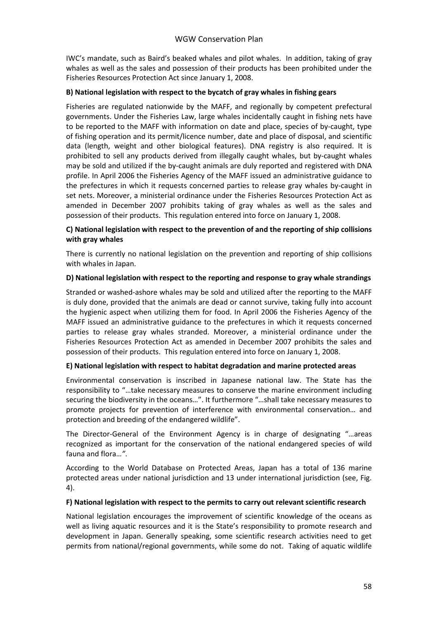IWC's mandate, such as Baird's beaked whales and pilot whales. In addition, taking of gray whales as well as the sales and possession of their products has been prohibited under the Fisheries Resources Protection Act since January 1, 2008.

#### **B) National legislation with respect to the bycatch of gray whales in fishing gears**

Fisheries are regulated nationwide by the MAFF, and regionally by competent prefectural governments. Under the Fisheries Law, large whales incidentally caught in fishing nets have to be reported to the MAFF with information on date and place, species of by-caught, type of fishing operation and its permit/licence number, date and place of disposal, and scientific data (length, weight and other biological features). DNA registry is also required. It is prohibited to sell any products derived from illegally caught whales, but by-caught whales may be sold and utilized if the by-caught animals are duly reported and registered with DNA profile. In April 2006 the Fisheries Agency of the MAFF issued an administrative guidance to the prefectures in which it requests concerned parties to release gray whales by-caught in set nets. Moreover, a ministerial ordinance under the Fisheries Resources Protection Act as amended in December 2007 prohibits taking of gray whales as well as the sales and possession of their products. This regulation entered into force on January 1, 2008.

#### **C) National legislation with respect to the prevention of and the reporting of ship collisions with gray whales**

There is currently no national legislation on the prevention and reporting of ship collisions with whales in Japan.

#### **D) National legislation with respect to the reporting and response to gray whale strandings**

Stranded or washed-ashore whales may be sold and utilized after the reporting to the MAFF is duly done, provided that the animals are dead or cannot survive, taking fully into account the hygienic aspect when utilizing them for food. In April 2006 the Fisheries Agency of the MAFF issued an administrative guidance to the prefectures in which it requests concerned parties to release gray whales stranded. Moreover, a ministerial ordinance under the Fisheries Resources Protection Act as amended in December 2007 prohibits the sales and possession of their products. This regulation entered into force on January 1, 2008.

#### **E) National legislation with respect to habitat degradation and marine protected areas**

Environmental conservation is inscribed in Japanese national law. The State has the responsibility to "…take necessary measures to conserve the marine environment including securing the biodiversity in the oceans…". It furthermore "…shall take necessary measures to promote projects for prevention of interference with environmental conservation… and protection and breeding of the endangered wildlife".

The Director-General of the Environment Agency is in charge of designating "…areas recognized as important for the conservation of the national endangered species of wild fauna and flora…*"*.

According to the World Database on Protected Areas, Japan has a total of 136 marine protected areas under national jurisdiction and 13 under international jurisdiction (see, Fig. 4).

#### **F) National legislation with respect to the permits to carry out relevant scientific research**

National legislation encourages the improvement of scientific knowledge of the oceans as well as living aquatic resources and it is the State's responsibility to promote research and development in Japan. Generally speaking, some scientific research activities need to get permits from national/regional governments, while some do not. Taking of aquatic wildlife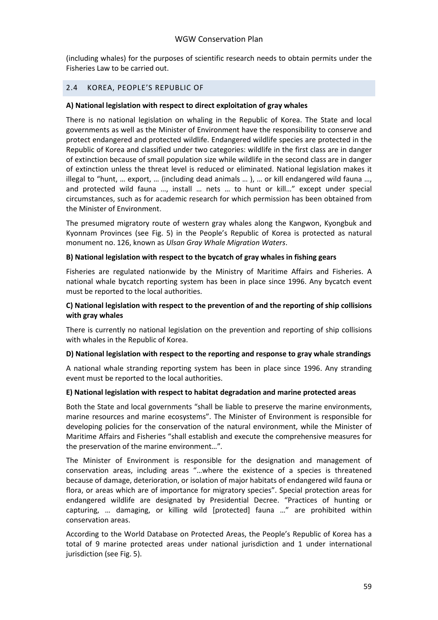(including whales) for the purposes of scientific research needs to obtain permits under the Fisheries Law to be carried out.

#### <span id="page-58-0"></span>2.4 KOREA, PEOPLE'S REPUBLIC OF

#### **A) National legislation with respect to direct exploitation of gray whales**

There is no national legislation on whaling in the Republic of Korea. The State and local governments as well as the Minister of Environment have the responsibility to conserve and protect endangered and protected wildlife. Endangered wildlife species are protected in the Republic of Korea and classified under two categories: wildlife in the first class are in danger of extinction because of small population size while wildlife in the second class are in danger of extinction unless the threat level is reduced or eliminated. National legislation makes it illegal to "hunt, … export, … (including dead animals … ), … or kill endangered wild fauna …, and protected wild fauna …, install … nets … to hunt or kill…" except under special circumstances, such as for academic research for which permission has been obtained from the Minister of Environment.

The presumed migratory route of western gray whales along the Kangwon, Kyongbuk and Kyonnam Provinces (see Fig. 5) in the People's Republic of Korea is protected as natural monument no. 126, known as *Ulsan Gray Whale Migration Waters*.

#### **B) National legislation with respect to the bycatch of gray whales in fishing gears**

Fisheries are regulated nationwide by the Ministry of Maritime Affairs and Fisheries. A national whale bycatch reporting system has been in place since 1996. Any bycatch event must be reported to the local authorities.

#### **C) National legislation with respect to the prevention of and the reporting of ship collisions with gray whales**

There is currently no national legislation on the prevention and reporting of ship collisions with whales in the Republic of Korea.

#### **D) National legislation with respect to the reporting and response to gray whale strandings**

A national whale stranding reporting system has been in place since 1996. Any stranding event must be reported to the local authorities.

#### **E) National legislation with respect to habitat degradation and marine protected areas**

Both the State and local governments "shall be liable to preserve the marine environments, marine resources and marine ecosystems". The Minister of Environment is responsible for developing policies for the conservation of the natural environment, while the Minister of Maritime Affairs and Fisheries "shall establish and execute the comprehensive measures for the preservation of the marine environment…"*.*

The Minister of Environment is responsible for the designation and management of conservation areas, including areas "…where the existence of a species is threatened because of damage, deterioration, or isolation of major habitats of endangered wild fauna or flora, or areas which are of importance for migratory species". Special protection areas for endangered wildlife are designated by Presidential Decree. "Practices of hunting or capturing, … damaging, or killing wild [protected] fauna …" are prohibited within conservation areas.

According to the World Database on Protected Areas, the People's Republic of Korea has a total of 9 marine protected areas under national jurisdiction and 1 under international jurisdiction (see Fig. 5).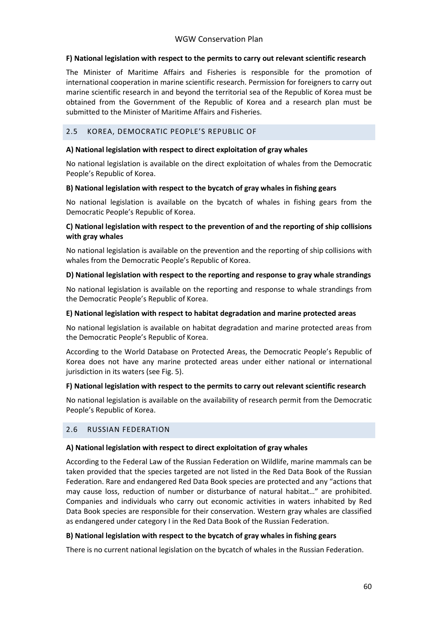#### **F) National legislation with respect to the permits to carry out relevant scientific research**

The Minister of Maritime Affairs and Fisheries is responsible for the promotion of international cooperation in marine scientific research. Permission for foreigners to carry out marine scientific research in and beyond the territorial sea of the Republic of Korea must be obtained from the Government of the Republic of Korea and a research plan must be submitted to the Minister of Maritime Affairs and Fisheries.

#### <span id="page-59-0"></span>2.5 KOREA, DEMOCRATIC PEOPLE'S REPUBLIC OF

#### **A) National legislation with respect to direct exploitation of gray whales**

No national legislation is available on the direct exploitation of whales from the Democratic People's Republic of Korea.

#### **B) National legislation with respect to the bycatch of gray whales in fishing gears**

No national legislation is available on the bycatch of whales in fishing gears from the Democratic People's Republic of Korea.

#### **C) National legislation with respect to the prevention of and the reporting of ship collisions with gray whales**

No national legislation is available on the prevention and the reporting of ship collisions with whales from the Democratic People's Republic of Korea.

#### **D) National legislation with respect to the reporting and response to gray whale strandings**

No national legislation is available on the reporting and response to whale strandings from the Democratic People's Republic of Korea.

#### **E) National legislation with respect to habitat degradation and marine protected areas**

No national legislation is available on habitat degradation and marine protected areas from the Democratic People's Republic of Korea.

According to the World Database on Protected Areas, the Democratic People's Republic of Korea does not have any marine protected areas under either national or international jurisdiction in its waters (see Fig. 5).

#### **F) National legislation with respect to the permits to carry out relevant scientific research**

No national legislation is available on the availability of research permit from the Democratic People's Republic of Korea.

#### <span id="page-59-1"></span>2.6 RUSSIAN FEDERATION

#### **A) National legislation with respect to direct exploitation of gray whales**

According to the Federal Law of the Russian Federation on Wildlife, marine mammals can be taken provided that the species targeted are not listed in the Red Data Book of the Russian Federation. Rare and endangered Red Data Book species are protected and any "actions that may cause loss, reduction of number or disturbance of natural habitat…" are prohibited. Companies and individuals who carry out economic activities in waters inhabited by Red Data Book species are responsible for their conservation. Western gray whales are classified as endangered under category I in the Red Data Book of the Russian Federation.

#### **B) National legislation with respect to the bycatch of gray whales in fishing gears**

There is no current national legislation on the bycatch of whales in the Russian Federation.